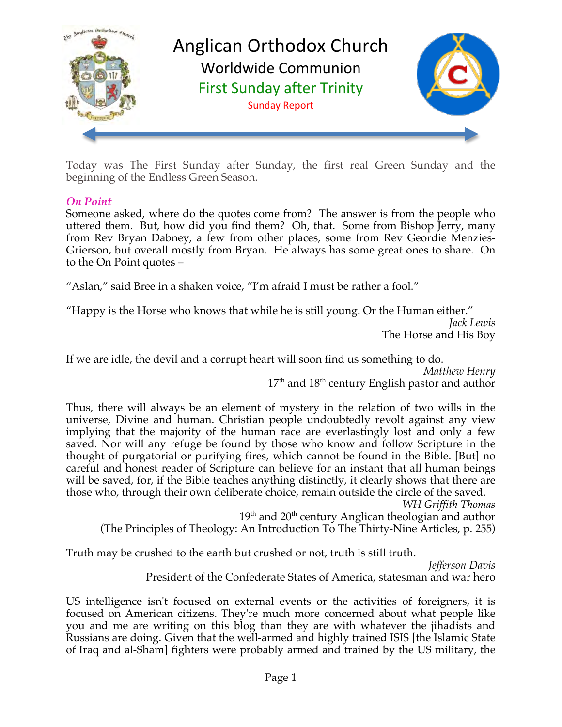

Today was The First Sunday after Sunday, the first real Green Sunday and the beginning of the Endless Green Season.

### *On Point*

Someone asked, where do the quotes come from? The answer is from the people who uttered them. But, how did you find them? Oh, that. Some from Bishop Jerry, many from Rev Bryan Dabney, a few from other places, some from Rev Geordie Menzies-Grierson, but overall mostly from Bryan. He always has some great ones to share. On to the On Point quotes –

"Aslan," said Bree in a shaken voice, "I'm afraid I must be rather a fool."

"Happy is the Horse who knows that while he is still young. Or the Human either."

*Jack Lewis* The Horse and His Boy

If we are idle, the devil and a corrupt heart will soon find us something to do.

*Matthew Henry*  $17<sup>th</sup>$  and  $18<sup>th</sup>$  century English pastor and author

Thus, there will always be an element of mystery in the relation of two wills in the universe, Divine and human. Christian people undoubtedly revolt against any view implying that the majority of the human race are everlastingly lost and only a few saved. Nor will any refuge be found by those who know and follow Scripture in the thought of purgatorial or purifying fires, which cannot be found in the Bible. [But] no careful and honest reader of Scripture can believe for an instant that all human beings will be saved, for, if the Bible teaches anything distinctly, it clearly shows that there are those who, through their own deliberate choice, remain outside the circle of the saved.

*WH Griffith Thomas*

 $19<sup>th</sup>$  and  $20<sup>th</sup>$  century Anglican theologian and author (The Principles of Theology: An Introduction To The Thirty-Nine Articles, p. 255)

Truth may be crushed to the earth but crushed or not, truth is still truth.

*Jefferson Davis*

President of the Confederate States of America, statesman and war hero

US intelligence isn't focused on external events or the activities of foreigners, it is focused on American citizens. They're much more concerned about what people like you and me are writing on this blog than they are with whatever the jihadists and Russians are doing. Given that the well-armed and highly trained ISIS [the Islamic State of Iraq and al-Sham] fighters were probably armed and trained by the US military, the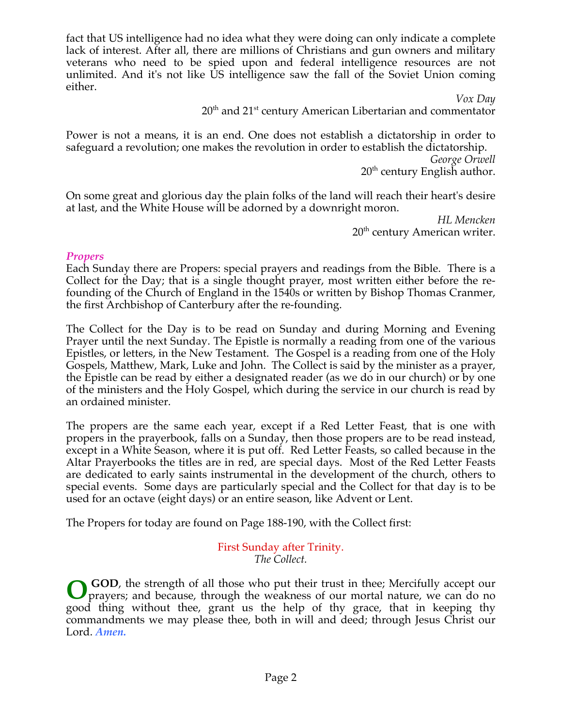fact that US intelligence had no idea what they were doing can only indicate a complete lack of interest. After all, there are millions of Christians and gun owners and military veterans who need to be spied upon and federal intelligence resources are not unlimited. And it's not like US intelligence saw the fall of the Soviet Union coming either.

> *Vox Day* 20<sup>th</sup> and 21<sup>st</sup> century American Libertarian and commentator

Power is not a means, it is an end. One does not establish a dictatorship in order to safeguard a revolution; one makes the revolution in order to establish the dictatorship.

*George Orwell*  $20<sup>th</sup>$  century English author.

On some great and glorious day the plain folks of the land will reach their heart's desire at last, and the White House will be adorned by a downright moron.

> *HL Mencken* 20<sup>th</sup> century American writer.

#### *Propers*

Each Sunday there are Propers: special prayers and readings from the Bible. There is a Collect for the Day; that is a single thought prayer, most written either before the refounding of the Church of England in the 1540s or written by Bishop Thomas Cranmer, the first Archbishop of Canterbury after the re-founding.

The Collect for the Day is to be read on Sunday and during Morning and Evening Prayer until the next Sunday. The Epistle is normally a reading from one of the various Epistles, or letters, in the New Testament. The Gospel is a reading from one of the Holy Gospels, Matthew, Mark, Luke and John. The Collect is said by the minister as a prayer, the Epistle can be read by either a designated reader (as we do in our church) or by one of the ministers and the Holy Gospel, which during the service in our church is read by an ordained minister.

The propers are the same each year, except if a Red Letter Feast, that is one with propers in the prayerbook, falls on a Sunday, then those propers are to be read instead, except in a White Season, where it is put off. Red Letter Feasts, so called because in the Altar Prayerbooks the titles are in red, are special days. Most of the Red Letter Feasts are dedicated to early saints instrumental in the development of the church, others to special events. Some days are particularly special and the Collect for that day is to be used for an octave (eight days) or an entire season, like Advent or Lent.

The Propers for today are found on Page 188-190, with the Collect first:

#### First Sunday after Trinity. *The Collect.*

 **GOD**, the strength of all those who put their trust in thee; Mercifully accept our prayers; and because, through the weakness of our mortal nature, we can do no good thing without thee, grant us the help of thy grace, that in keeping thy commandments we may please thee, both in will and deed; through Jesus Christ our Lord. *Amen.* **O**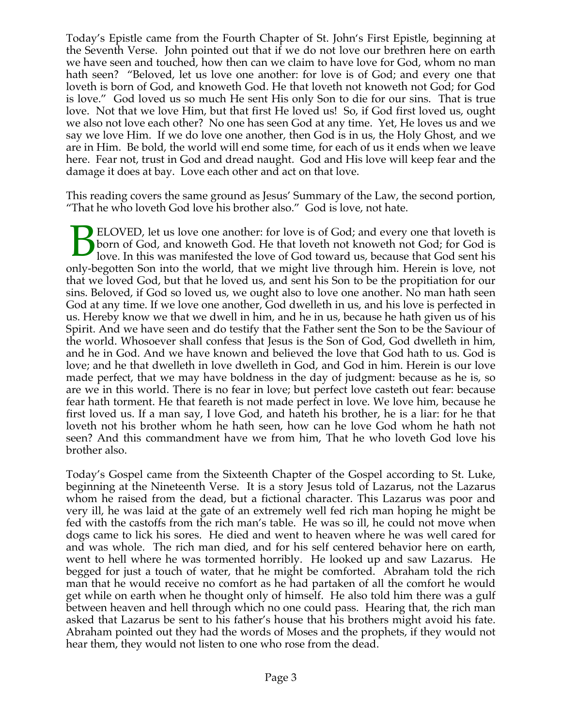Today's Epistle came from the Fourth Chapter of St. John's First Epistle, beginning at the Seventh Verse. John pointed out that if we do not love our brethren here on earth we have seen and touched, how then can we claim to have love for God, whom no man hath seen? "Beloved, let us love one another: for love is of God; and every one that loveth is born of God, and knoweth God. He that loveth not knoweth not God; for God is love." God loved us so much He sent His only Son to die for our sins. That is true love. Not that we love Him, but that first He loved us! So, if God first loved us, ought we also not love each other? No one has seen God at any time. Yet, He loves us and we say we love Him. If we do love one another, then God is in us, the Holy Ghost, and we are in Him. Be bold, the world will end some time, for each of us it ends when we leave here. Fear not, trust in God and dread naught. God and His love will keep fear and the damage it does at bay. Love each other and act on that love.

This reading covers the same ground as Jesus' Summary of the Law, the second portion, "That he who loveth God love his brother also." God is love, not hate.

ELOVED, let us love one another: for love is of God; and every one that loveth is born of God, and knoweth God. He that loveth not knoweth not God; for God is love. In this was manifested the love of God toward us, because that God sent his only-begotten Son into the world, that we might live through him. Herein is love, not that we loved God, but that he loved us, and sent his Son to be the propitiation for our sins. Beloved, if God so loved us, we ought also to love one another. No man hath seen God at any time. If we love one another, God dwelleth in us, and his love is perfected in us. Hereby know we that we dwell in him, and he in us, because he hath given us of his Spirit. And we have seen and do testify that the Father sent the Son to be the Saviour of the world. Whosoever shall confess that Jesus is the Son of God, God dwelleth in him, and he in God. And we have known and believed the love that God hath to us. God is love; and he that dwelleth in love dwelleth in God, and God in him. Herein is our love made perfect, that we may have boldness in the day of judgment: because as he is, so are we in this world. There is no fear in love; but perfect love casteth out fear: because fear hath torment. He that feareth is not made perfect in love. We love him, because he first loved us. If a man say, I love God, and hateth his brother, he is a liar: for he that loveth not his brother whom he hath seen, how can he love God whom he hath not seen? And this commandment have we from him, That he who loveth God love his brother also. B

Today's Gospel came from the Sixteenth Chapter of the Gospel according to St. Luke, beginning at the Nineteenth Verse. It is a story Jesus told of Lazarus, not the Lazarus whom he raised from the dead, but a fictional character. This Lazarus was poor and very ill, he was laid at the gate of an extremely well fed rich man hoping he might be fed with the castoffs from the rich man's table. He was so ill, he could not move when dogs came to lick his sores. He died and went to heaven where he was well cared for and was whole. The rich man died, and for his self centered behavior here on earth, went to hell where he was tormented horribly. He looked up and saw Lazarus. He begged for just a touch of water, that he might be comforted. Abraham told the rich man that he would receive no comfort as he had partaken of all the comfort he would get while on earth when he thought only of himself. He also told him there was a gulf between heaven and hell through which no one could pass. Hearing that, the rich man asked that Lazarus be sent to his father's house that his brothers might avoid his fate. Abraham pointed out they had the words of Moses and the prophets, if they would not hear them, they would not listen to one who rose from the dead.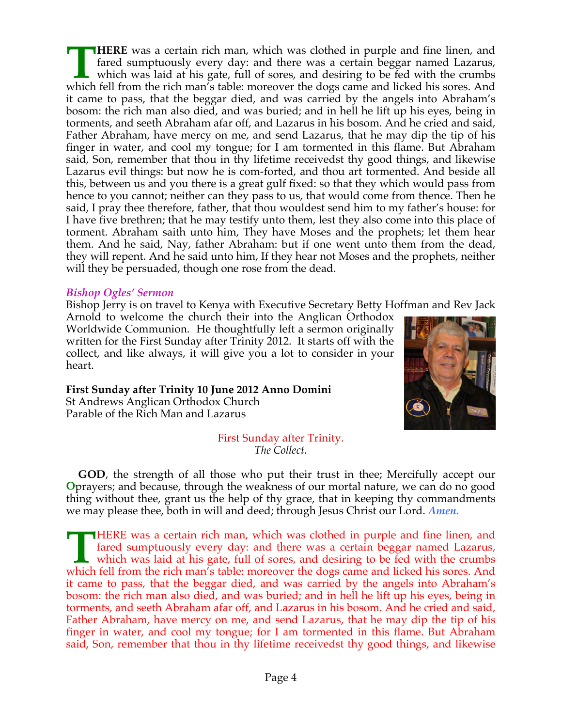**HERE** was a certain rich man, which was clothed in purple and fine linen, and fared sumptuously every day: and there was a certain beggar named Lazarus, which was laid at his gate, full of sores, and desiring to be fed with the crumbs **THERE** was a certain rich man, which was clothed in purple and fine linen, and fared sumptuously every day: and there was a certain beggar named Lazarus, which was laid at his gate, full of sores, and desiring to be fed w it came to pass, that the beggar died, and was carried by the angels into Abraham's bosom: the rich man also died, and was buried; and in hell he lift up his eyes, being in torments, and seeth Abraham afar off, and Lazarus in his bosom. And he cried and said, Father Abraham, have mercy on me, and send Lazarus, that he may dip the tip of his finger in water, and cool my tongue; for I am tormented in this flame. But Abraham said, Son, remember that thou in thy lifetime receivedst thy good things, and likewise Lazarus evil things: but now he is com-forted, and thou art tormented. And beside all this, between us and you there is a great gulf fixed: so that they which would pass from hence to you cannot; neither can they pass to us, that would come from thence. Then he said, I pray thee therefore, father, that thou wouldest send him to my father's house: for I have five brethren; that he may testify unto them, lest they also come into this place of torment. Abraham saith unto him, They have Moses and the prophets; let them hear them. And he said, Nay, father Abraham: but if one went unto them from the dead, they will repent. And he said unto him, If they hear not Moses and the prophets, neither will they be persuaded, though one rose from the dead.

#### *Bishop Ogles' Sermon*

Bishop Jerry is on travel to Kenya with Executive Secretary Betty Hoffman and Rev Jack

Arnold to welcome the church their into the Anglican Orthodox Worldwide Communion. He thoughtfully left a sermon originally written for the First Sunday after Trinity 2012. It starts off with the collect, and like always, it will give you a lot to consider in your heart.

**First Sunday after Trinity 10 June 2012 Anno Domini** St Andrews Anglican Orthodox Church Parable of the Rich Man and Lazarus



#### First Sunday after Trinity. *The Collect.*

 **GOD**, the strength of all those who put their trust in thee; Mercifully accept our **O** prayers; and because, through the weakness of our mortal nature, we can do no good thing without thee, grant us the help of thy grace, that in keeping thy commandments we may please thee, both in will and deed; through Jesus Christ our Lord. *Amen.*

HERE was a certain rich man, which was clothed in purple and fine linen, and fared sumptuously every day: and there was a certain beggar named Lazarus, which was laid at his gate, full of sores, and desiring to be fed with the crumbs **THERE** was a certain rich man, which was clothed in purple and fine linen, and fared sumptuously every day: and there was a certain beggar named Lazarus, which was laid at his gate, full of sores, and desiring to be fed w it came to pass, that the beggar died, and was carried by the angels into Abraham's bosom: the rich man also died, and was buried; and in hell he lift up his eyes, being in torments, and seeth Abraham afar off, and Lazarus in his bosom. And he cried and said, Father Abraham, have mercy on me, and send Lazarus, that he may dip the tip of his finger in water, and cool my tongue; for I am tormented in this flame. But Abraham said, Son, remember that thou in thy lifetime receivedst thy good things, and likewise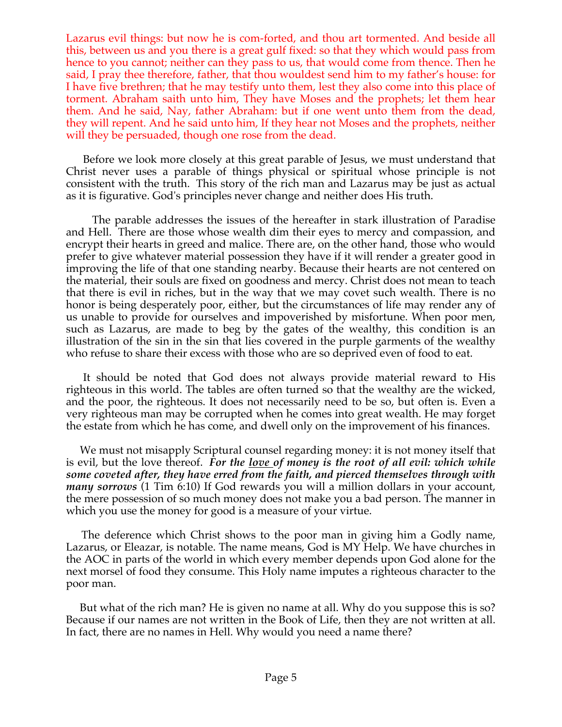Lazarus evil things: but now he is com-forted, and thou art tormented. And beside all this, between us and you there is a great gulf fixed: so that they which would pass from hence to you cannot; neither can they pass to us, that would come from thence. Then he said, I pray thee therefore, father, that thou wouldest send him to my father's house: for I have five brethren; that he may testify unto them, lest they also come into this place of torment. Abraham saith unto him, They have Moses and the prophets; let them hear them. And he said, Nay, father Abraham: but if one went unto them from the dead, they will repent. And he said unto him, If they hear not Moses and the prophets, neither will they be persuaded, though one rose from the dead.

 Before we look more closely at this great parable of Jesus, we must understand that Christ never uses a parable of things physical or spiritual whose principle is not consistent with the truth. This story of the rich man and Lazarus may be just as actual as it is figurative. God's principles never change and neither does His truth.

 The parable addresses the issues of the hereafter in stark illustration of Paradise and Hell. There are those whose wealth dim their eyes to mercy and compassion, and encrypt their hearts in greed and malice. There are, on the other hand, those who would prefer to give whatever material possession they have if it will render a greater good in improving the life of that one standing nearby. Because their hearts are not centered on the material, their souls are fixed on goodness and mercy. Christ does not mean to teach that there is evil in riches, but in the way that we may covet such wealth. There is no honor is being desperately poor, either, but the circumstances of life may render any of us unable to provide for ourselves and impoverished by misfortune. When poor men, such as Lazarus, are made to beg by the gates of the wealthy, this condition is an illustration of the sin in the sin that lies covered in the purple garments of the wealthy who refuse to share their excess with those who are so deprived even of food to eat.

 It should be noted that God does not always provide material reward to His righteous in this world. The tables are often turned so that the wealthy are the wicked, and the poor, the righteous. It does not necessarily need to be so, but often is. Even a very righteous man may be corrupted when he comes into great wealth. He may forget the estate from which he has come, and dwell only on the improvement of his finances.

 We must not misapply Scriptural counsel regarding money: it is not money itself that is evil, but the love thereof. *For the love of money is the root of all evil: which while some coveted after, they have erred from the faith, and pierced themselves through with many sorrows* (1 Tim 6:10) If God rewards you will a million dollars in your account, the mere possession of so much money does not make you a bad person. The manner in which you use the money for good is a measure of your virtue.

 The deference which Christ shows to the poor man in giving him a Godly name, Lazarus, or Eleazar, is notable. The name means, God is MY Help. We have churches in the AOC in parts of the world in which every member depends upon God alone for the next morsel of food they consume. This Holy name imputes a righteous character to the poor man.

 But what of the rich man? He is given no name at all. Why do you suppose this is so? Because if our names are not written in the Book of Life, then they are not written at all. In fact, there are no names in Hell. Why would you need a name there?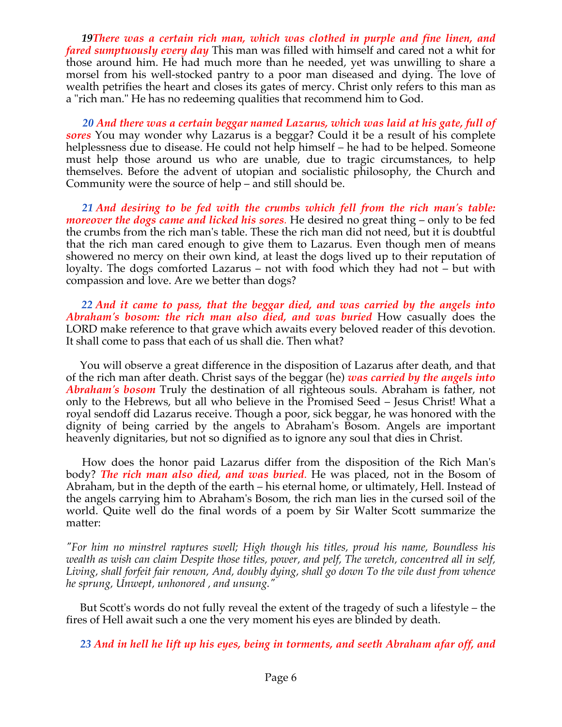*19There was a certain rich man, which was clothed in purple and fine linen, and fared sumptuously every day* This man was filled with himself and cared not a whit for those around him. He had much more than he needed, yet was unwilling to share a morsel from his well-stocked pantry to a poor man diseased and dying. The love of wealth petrifies the heart and closes its gates of mercy. Christ only refers to this man as a "rich man." He has no redeeming qualities that recommend him to God.

 *20 And there was a certain beggar named Lazarus, which was laid at his gate, full of sores* You may wonder why Lazarus is a beggar? Could it be a result of his complete helplessness due to disease. He could not help himself – he had to be helped. Someone must help those around us who are unable, due to tragic circumstances, to help themselves. Before the advent of utopian and socialistic philosophy, the Church and Community were the source of help – and still should be.

 *21 And desiring to be fed with the crumbs which fell from the rich man's table: moreover the dogs came and licked his sores.* He desired no great thing – only to be fed the crumbs from the rich man's table. These the rich man did not need, but it is doubtful that the rich man cared enough to give them to Lazarus. Even though men of means showered no mercy on their own kind, at least the dogs lived up to their reputation of loyalty. The dogs comforted Lazarus – not with food which they had not – but with compassion and love. Are we better than dogs?

 *22 And it came to pass, that the beggar died, and was carried by the angels into Abraham's bosom: the rich man also died, and was buried* How casually does the LORD make reference to that grave which awaits every beloved reader of this devotion. It shall come to pass that each of us shall die. Then what?

 You will observe a great difference in the disposition of Lazarus after death, and that of the rich man after death. Christ says of the beggar (he) *was carried by the angels into Abraham's bosom* Truly the destination of all righteous souls. Abraham is father, not only to the Hebrews, but all who believe in the Promised Seed – Jesus Christ! What a royal sendoff did Lazarus receive. Though a poor, sick beggar, he was honored with the dignity of being carried by the angels to Abraham's Bosom. Angels are important heavenly dignitaries, but not so dignified as to ignore any soul that dies in Christ.

 How does the honor paid Lazarus differ from the disposition of the Rich Man's body? *The rich man also died, and was buried*. He was placed, not in the Bosom of Abraham, but in the depth of the earth – his eternal home, or ultimately, Hell. Instead of the angels carrying him to Abraham's Bosom, the rich man lies in the cursed soil of the world. Quite well do the final words of a poem by Sir Walter Scott summarize the matter:

*"For him no minstrel raptures swell; High though his titles, proud his name, Boundless his wealth as wish can claim Despite those titles, power, and pelf, The wretch, concentred all in self, Living, shall forfeit fair renown, And, doubly dying, shall go down To the vile dust from whence he sprung, Unwept, unhonored , and unsung."*

 But Scott's words do not fully reveal the extent of the tragedy of such a lifestyle – the fires of Hell await such a one the very moment his eyes are blinded by death.

*23 And in hell he lift up his eyes, being in torments, and seeth Abraham afar off, and*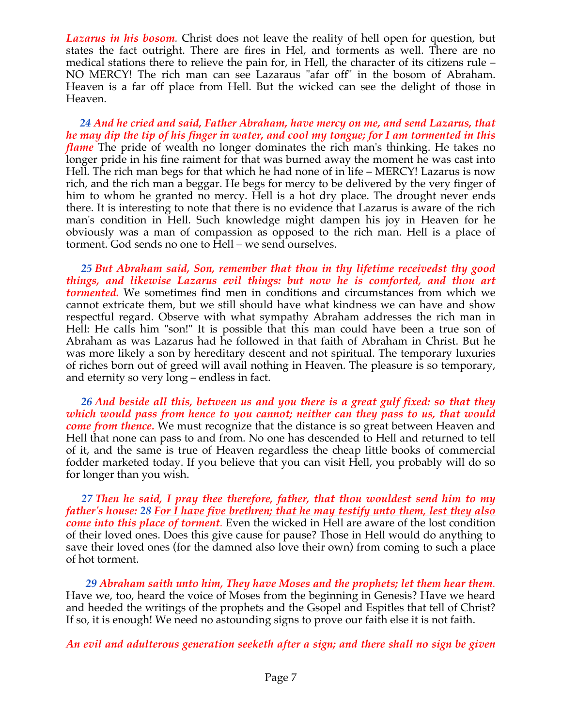*Lazarus in his bosom.* Christ does not leave the reality of hell open for question, but states the fact outright. There are fires in Hel, and torments as well. There are no medical stations there to relieve the pain for, in Hell, the character of its citizens rule – NO MERCY! The rich man can see Lazaraus "afar off" in the bosom of Abraham. Heaven is a far off place from Hell. But the wicked can see the delight of those in Heaven.

 *24 And he cried and said, Father Abraham, have mercy on me, and send Lazarus, that he may dip the tip of his finger in water, and cool my tongue; for I am tormented in this flame* The pride of wealth no longer dominates the rich man's thinking. He takes no longer pride in his fine raiment for that was burned away the moment he was cast into Hell. The rich man begs for that which he had none of in life – MERCY! Lazarus is now rich, and the rich man a beggar. He begs for mercy to be delivered by the very finger of him to whom he granted no mercy. Hell is a hot dry place. The drought never ends there. It is interesting to note that there is no evidence that Lazarus is aware of the rich man's condition in Hell. Such knowledge might dampen his joy in Heaven for he obviously was a man of compassion as opposed to the rich man. Hell is a place of torment. God sends no one to Hell – we send ourselves.

 *25 But Abraham said, Son, remember that thou in thy lifetime receivedst thy good things, and likewise Lazarus evil things: but now he is comforted, and thou art tormented*. We sometimes find men in conditions and circumstances from which we cannot extricate them, but we still should have what kindness we can have and show respectful regard. Observe with what sympathy Abraham addresses the rich man in Hell: He calls him "son!" It is possible that this man could have been a true son of Abraham as was Lazarus had he followed in that faith of Abraham in Christ. But he was more likely a son by hereditary descent and not spiritual. The temporary luxuries of riches born out of greed will avail nothing in Heaven. The pleasure is so temporary, and eternity so very long – endless in fact.

 *26 And beside all this, between us and you there is a great gulf fixed: so that they which would pass from hence to you cannot; neither can they pass to us, that would come from thence.* We must recognize that the distance is so great between Heaven and Hell that none can pass to and from. No one has descended to Hell and returned to tell of it, and the same is true of Heaven regardless the cheap little books of commercial fodder marketed today. If you believe that you can visit Hell, you probably will do so for longer than you wish.

 *27 Then he said, I pray thee therefore, father, that thou wouldest send him to my father's house: 28 For I have five brethren; that he may testify unto them, lest they also come into this place of torment.* Even the wicked in Hell are aware of the lost condition of their loved ones. Does this give cause for pause? Those in Hell would do anything to save their loved ones (for the damned also love their own) from coming to such a place of hot torment.

 *29 Abraham saith unto him, They have Moses and the prophets; let them hear them.* Have we, too, heard the voice of Moses from the beginning in Genesis? Have we heard and heeded the writings of the prophets and the Gsopel and Espitles that tell of Christ? If so, it is enough! We need no astounding signs to prove our faith else it is not faith.

*An evil and adulterous generation seeketh after a sign; and there shall no sign be given*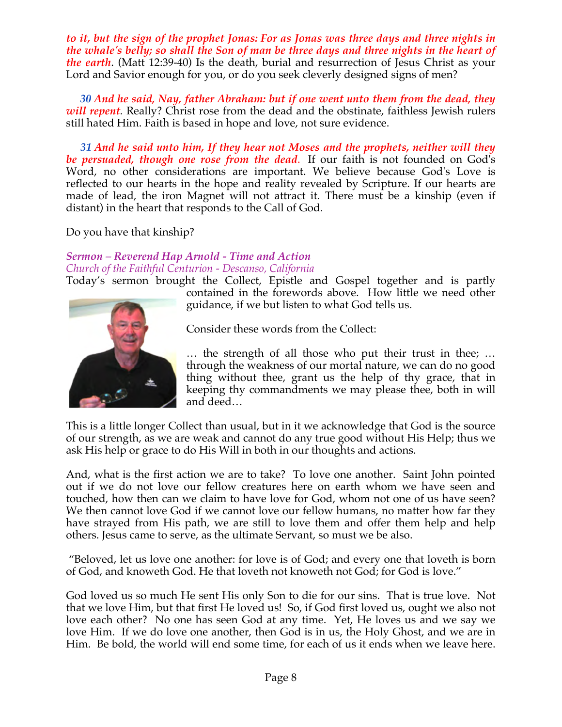*to it, but the sign of the prophet Jonas: For as Jonas was three days and three nights in the whale's belly; so shall the Son of man be three days and three nights in the heart of the earth*. (Matt 12:39-40) Is the death, burial and resurrection of Jesus Christ as your Lord and Savior enough for you, or do you seek cleverly designed signs of men?

 *30 And he said, Nay, father Abraham: but if one went unto them from the dead, they will repent*. Really? Christ rose from the dead and the obstinate, faithless Jewish rulers still hated Him. Faith is based in hope and love, not sure evidence.

 *31 And he said unto him, If they hear not Moses and the prophets, neither will they be persuaded, though one rose from the dead*. If our faith is not founded on God's Word, no other considerations are important. We believe because God's Love is reflected to our hearts in the hope and reality revealed by Scripture. If our hearts are made of lead, the iron Magnet will not attract it. There must be a kinship (even if distant) in the heart that responds to the Call of God.

Do you have that kinship?

#### *Sermon – Reverend Hap Arnold - Time and Action Church of the Faithful Centurion - Descanso, California*

Today's sermon brought the Collect, Epistle and Gospel together and is partly



contained in the forewords above. How little we need other guidance, if we but listen to what God tells us.

Consider these words from the Collect:

… the strength of all those who put their trust in thee; … through the weakness of our mortal nature, we can do no good thing without thee, grant us the help of thy grace, that in keeping thy commandments we may please thee, both in will and deed…

This is a little longer Collect than usual, but in it we acknowledge that God is the source of our strength, as we are weak and cannot do any true good without His Help; thus we ask His help or grace to do His Will in both in our thoughts and actions.

And, what is the first action we are to take? To love one another. Saint John pointed out if we do not love our fellow creatures here on earth whom we have seen and touched, how then can we claim to have love for God, whom not one of us have seen? We then cannot love God if we cannot love our fellow humans, no matter how far they have strayed from His path, we are still to love them and offer them help and help others. Jesus came to serve, as the ultimate Servant, so must we be also.

 "Beloved, let us love one another: for love is of God; and every one that loveth is born of God, and knoweth God. He that loveth not knoweth not God; for God is love."

God loved us so much He sent His only Son to die for our sins. That is true love. Not that we love Him, but that first He loved us! So, if God first loved us, ought we also not love each other? No one has seen God at any time. Yet, He loves us and we say we love Him. If we do love one another, then God is in us, the Holy Ghost, and we are in Him. Be bold, the world will end some time, for each of us it ends when we leave here.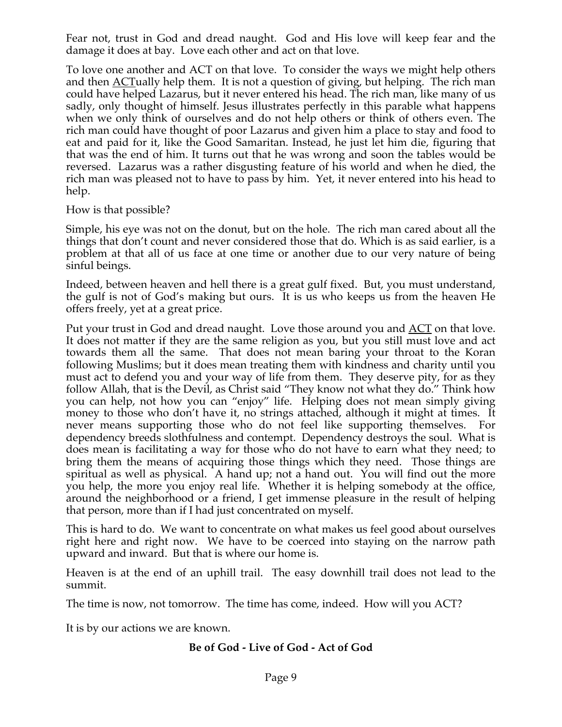Fear not, trust in God and dread naught. God and His love will keep fear and the damage it does at bay. Love each other and act on that love.

To love one another and ACT on that love. To consider the ways we might help others and then <u>ACT</u>ually help them. It is not a question of giving, but helping. The rich man could have helped Lazarus, but it never entered his head. The rich man, like many of us sadly, only thought of himself. Jesus illustrates perfectly in this parable what happens when we only think of ourselves and do not help others or think of others even. The rich man could have thought of poor Lazarus and given him a place to stay and food to eat and paid for it, like the Good Samaritan. Instead, he just let him die, figuring that that was the end of him. It turns out that he was wrong and soon the tables would be reversed. Lazarus was a rather disgusting feature of his world and when he died, the rich man was pleased not to have to pass by him. Yet, it never entered into his head to help.

How is that possible?

Simple, his eye was not on the donut, but on the hole. The rich man cared about all the things that don't count and never considered those that do. Which is as said earlier, is a problem at that all of us face at one time or another due to our very nature of being sinful beings.

Indeed, between heaven and hell there is a great gulf fixed. But, you must understand, the gulf is not of God's making but ours. It is us who keeps us from the heaven He offers freely, yet at a great price.

Put your trust in God and dread naught. Love those around you and ACT on that love. It does not matter if they are the same religion as you, but you still must love and act towards them all the same. That does not mean baring your throat to the Koran following Muslims; but it does mean treating them with kindness and charity until you must act to defend you and your way of life from them. They deserve pity, for as they follow Allah, that is the Devil, as Christ said "They know not what they do." Think how you can help, not how you can "enjoy" life. Helping does not mean simply giving money to those who don't have it, no strings attached, although it might at times. It never means supporting those who do not feel like supporting themselves. For dependency breeds slothfulness and contempt. Dependency destroys the soul. What is does mean is facilitating a way for those who do not have to earn what they need; to bring them the means of acquiring those things which they need. Those things are spiritual as well as physical. A hand up; not a hand out. You will find out the more you help, the more you enjoy real life. Whether it is helping somebody at the office, around the neighborhood or a friend, I get immense pleasure in the result of helping that person, more than if I had just concentrated on myself.

This is hard to do. We want to concentrate on what makes us feel good about ourselves right here and right now. We have to be coerced into staying on the narrow path upward and inward. But that is where our home is.

Heaven is at the end of an uphill trail. The easy downhill trail does not lead to the summit.

The time is now, not tomorrow. The time has come, indeed. How will you ACT?

It is by our actions we are known.

# **Be of God - Live of God - Act of God**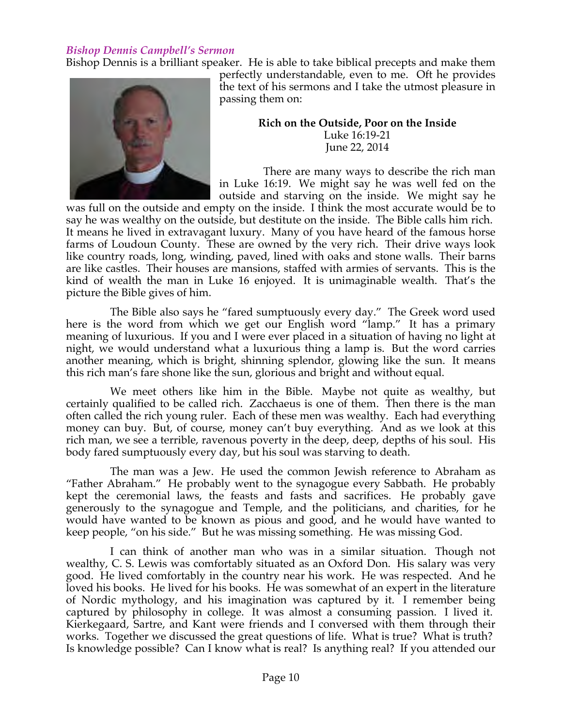#### *Bishop Dennis Campbell's Sermon*

Bishop Dennis is a brilliant speaker. He is able to take biblical precepts and make them



perfectly understandable, even to me. Oft he provides the text of his sermons and I take the utmost pleasure in passing them on:

**Rich on the Outside, Poor on the Inside**

Luke 16:19-21 June 22, 2014

There are many ways to describe the rich man in Luke 16:19. We might say he was well fed on the outside and starving on the inside. We might say he

was full on the outside and empty on the inside. I think the most accurate would be to say he was wealthy on the outside, but destitute on the inside. The Bible calls him rich. It means he lived in extravagant luxury. Many of you have heard of the famous horse farms of Loudoun County. These are owned by the very rich. Their drive ways look like country roads, long, winding, paved, lined with oaks and stone walls. Their barns are like castles. Their houses are mansions, staffed with armies of servants. This is the kind of wealth the man in Luke 16 enjoyed. It is unimaginable wealth. That's the picture the Bible gives of him.

The Bible also says he "fared sumptuously every day." The Greek word used here is the word from which we get our English word "lamp." It has a primary meaning of luxurious. If you and I were ever placed in a situation of having no light at night, we would understand what a luxurious thing a lamp is. But the word carries another meaning, which is bright, shinning splendor, glowing like the sun. It means this rich man's fare shone like the sun, glorious and bright and without equal.

We meet others like him in the Bible. Maybe not quite as wealthy, but certainly qualified to be called rich. Zacchaeus is one of them. Then there is the man often called the rich young ruler. Each of these men was wealthy. Each had everything money can buy. But, of course, money can't buy everything. And as we look at this rich man, we see a terrible, ravenous poverty in the deep, deep, depths of his soul. His body fared sumptuously every day, but his soul was starving to death.

The man was a Jew. He used the common Jewish reference to Abraham as "Father Abraham." He probably went to the synagogue every Sabbath. He probably kept the ceremonial laws, the feasts and fasts and sacrifices. He probably gave generously to the synagogue and Temple, and the politicians, and charities, for he would have wanted to be known as pious and good, and he would have wanted to keep people, "on his side." But he was missing something. He was missing God.

I can think of another man who was in a similar situation. Though not wealthy, C. S. Lewis was comfortably situated as an Oxford Don. His salary was very good. He lived comfortably in the country near his work. He was respected. And he loved his books. He lived for his books. He was somewhat of an expert in the literature of Nordic mythology, and his imagination was captured by it. I remember being captured by philosophy in college. It was almost a consuming passion. I lived it. Kierkegaard, Sartre, and Kant were friends and I conversed with them through their works. Together we discussed the great questions of life. What is true? What is truth? Is knowledge possible? Can I know what is real? Is anything real? If you attended our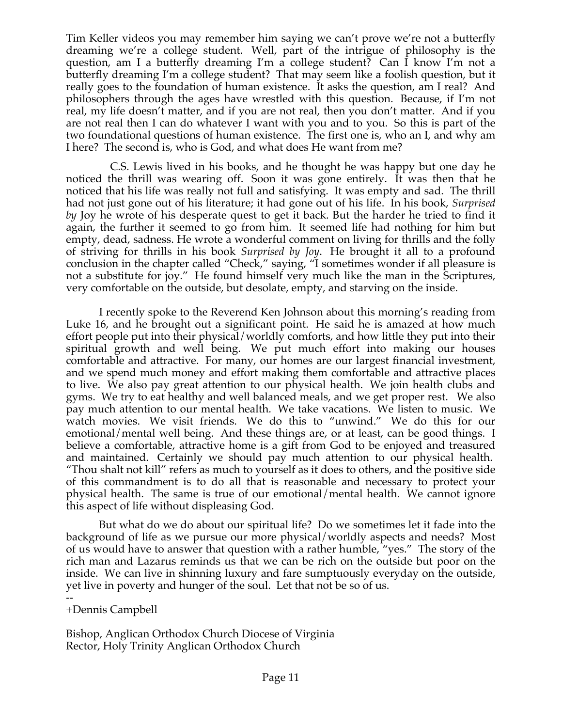Tim Keller videos you may remember him saying we can't prove we're not a butterfly dreaming we're a college student. Well, part of the intrigue of philosophy is the question, am I a butterfly dreaming I'm a college student? Can I know I'm not a butterfly dreaming I'm a college student? That may seem like a foolish question, but it really goes to the foundation of human existence. It asks the question, am I real? And philosophers through the ages have wrestled with this question. Because, if I'm not real, my life doesn't matter, and if you are not real, then you don't matter. And if you are not real then I can do whatever I want with you and to you. So this is part of the two foundational questions of human existence. The first one is, who an I, and why am I here? The second is, who is God, and what does He want from me?

C.S. Lewis lived in his books, and he thought he was happy but one day he noticed the thrill was wearing off. Soon it was gone entirely. It was then that he noticed that his life was really not full and satisfying. It was empty and sad. The thrill had not just gone out of his literature; it had gone out of his life. In his book, *Surprised by* Joy he wrote of his desperate quest to get it back. But the harder he tried to find it again, the further it seemed to go from him. It seemed life had nothing for him but empty, dead, sadness. He wrote a wonderful comment on living for thrills and the folly of striving for thrills in his book *Surprised by Joy*. He brought it all to a profound conclusion in the chapter called "Check," saying, "I sometimes wonder if all pleasure is not a substitute for joy." He found himself very much like the man in the Scriptures, very comfortable on the outside, but desolate, empty, and starving on the inside.

I recently spoke to the Reverend Ken Johnson about this morning's reading from Luke 16, and he brought out a significant point. He said he is amazed at how much effort people put into their physical/worldly comforts, and how little they put into their spiritual growth and well being. We put much effort into making our houses comfortable and attractive. For many, our homes are our largest financial investment, and we spend much money and effort making them comfortable and attractive places to live. We also pay great attention to our physical health. We join health clubs and gyms. We try to eat healthy and well balanced meals, and we get proper rest. We also pay much attention to our mental health. We take vacations. We listen to music. We watch movies. We visit friends. We do this to "unwind." We do this for our emotional/mental well being. And these things are, or at least, can be good things. I believe a comfortable, attractive home is a gift from God to be enjoyed and treasured and maintained. Certainly we should pay much attention to our physical health. "Thou shalt not kill" refers as much to yourself as it does to others, and the positive side of this commandment is to do all that is reasonable and necessary to protect your physical health. The same is true of our emotional/mental health. We cannot ignore this aspect of life without displeasing God.

But what do we do about our spiritual life? Do we sometimes let it fade into the background of life as we pursue our more physical/worldly aspects and needs? Most of us would have to answer that question with a rather humble, "yes." The story of the rich man and Lazarus reminds us that we can be rich on the outside but poor on the inside. We can live in shinning luxury and fare sumptuously everyday on the outside, yet live in poverty and hunger of the soul. Let that not be so of us.

#### -- +Dennis Campbell

Bishop, Anglican Orthodox Church Diocese of Virginia Rector, Holy Trinity Anglican Orthodox Church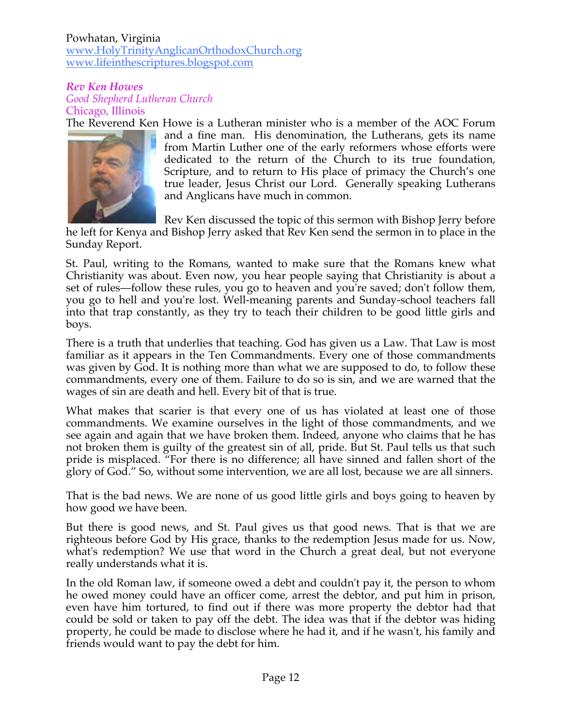#### Powhatan, Virginia www.HolyTrinityAnglicanOrthodoxChurch.org www.lifeinthescriptures.blogspot.com

*Rev Ken Howes Good Shepherd Lutheran Church* Chicago, Illinois

The Reverend Ken Howe is a Lutheran minister who is a member of the AOC Forum



and a fine man. His denomination, the Lutherans, gets its name from Martin Luther one of the early reformers whose efforts were dedicated to the return of the Church to its true foundation, Scripture, and to return to His place of primacy the Church's one true leader, Jesus Christ our Lord. Generally speaking Lutherans and Anglicans have much in common.

Rev Ken discussed the topic of this sermon with Bishop Jerry before

he left for Kenya and Bishop Jerry asked that Rev Ken send the sermon in to place in the Sunday Report.

St. Paul, writing to the Romans, wanted to make sure that the Romans knew what Christianity was about. Even now, you hear people saying that Christianity is about a set of rules—follow these rules, you go to heaven and you're saved; don't follow them, you go to hell and you're lost. Well-meaning parents and Sunday-school teachers fall into that trap constantly, as they try to teach their children to be good little girls and boys.

There is a truth that underlies that teaching. God has given us a Law. That Law is most familiar as it appears in the Ten Commandments. Every one of those commandments was given by God. It is nothing more than what we are supposed to do, to follow these commandments, every one of them. Failure to do so is sin, and we are warned that the wages of sin are death and hell. Every bit of that is true.

What makes that scarier is that every one of us has violated at least one of those commandments. We examine ourselves in the light of those commandments, and we see again and again that we have broken them. Indeed, anyone who claims that he has not broken them is guilty of the greatest sin of all, pride. But St. Paul tells us that such pride is misplaced. "For there is no difference; all have sinned and fallen short of the glory of God." So, without some intervention, we are all lost, because we are all sinners.

That is the bad news. We are none of us good little girls and boys going to heaven by how good we have been.

But there is good news, and St. Paul gives us that good news. That is that we are righteous before God by His grace, thanks to the redemption Jesus made for us. Now, what's redemption? We use that word in the Church a great deal, but not everyone really understands what it is.

In the old Roman law, if someone owed a debt and couldn't pay it, the person to whom he owed money could have an officer come, arrest the debtor, and put him in prison, even have him tortured, to find out if there was more property the debtor had that could be sold or taken to pay off the debt. The idea was that if the debtor was hiding property, he could be made to disclose where he had it, and if he wasn't, his family and friends would want to pay the debt for him.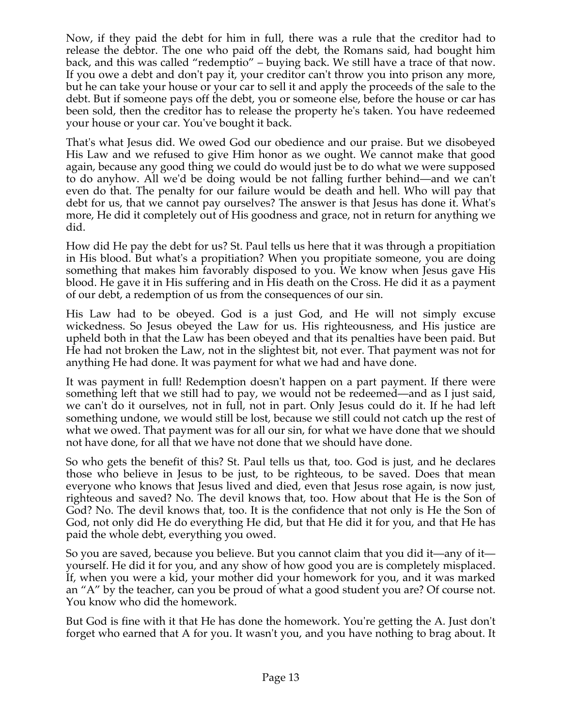Now, if they paid the debt for him in full, there was a rule that the creditor had to release the debtor. The one who paid off the debt, the Romans said, had bought him back, and this was called "redemptio" – buying back. We still have a trace of that now. If you owe a debt and don't pay it, your creditor can't throw you into prison any more, but he can take your house or your car to sell it and apply the proceeds of the sale to the debt. But if someone pays off the debt, you or someone else, before the house or car has been sold, then the creditor has to release the property he's taken. You have redeemed your house or your car. You've bought it back.

That's what Jesus did. We owed God our obedience and our praise. But we disobeyed His Law and we refused to give Him honor as we ought. We cannot make that good again, because any good thing we could do would just be to do what we were supposed to do anyhow. All we'd be doing would be not falling further behind—and we can't even do that. The penalty for our failure would be death and hell. Who will pay that debt for us, that we cannot pay ourselves? The answer is that Jesus has done it. What's more, He did it completely out of His goodness and grace, not in return for anything we did.

How did He pay the debt for us? St. Paul tells us here that it was through a propitiation in His blood. But what's a propitiation? When you propitiate someone, you are doing something that makes him favorably disposed to you. We know when Jesus gave His blood. He gave it in His suffering and in His death on the Cross. He did it as a payment of our debt, a redemption of us from the consequences of our sin.

His Law had to be obeyed. God is a just God, and He will not simply excuse wickedness. So Jesus obeyed the Law for us. His righteousness, and His justice are upheld both in that the Law has been obeyed and that its penalties have been paid. But He had not broken the Law, not in the slightest bit, not ever. That payment was not for anything He had done. It was payment for what we had and have done.

It was payment in full! Redemption doesn't happen on a part payment. If there were something left that we still had to pay, we would not be redeemed—and as I just said, we can't do it ourselves, not in full, not in part. Only Jesus could do it. If he had left something undone, we would still be lost, because we still could not catch up the rest of what we owed. That payment was for all our sin, for what we have done that we should not have done, for all that we have not done that we should have done.

So who gets the benefit of this? St. Paul tells us that, too. God is just, and he declares those who believe in Jesus to be just, to be righteous, to be saved. Does that mean everyone who knows that Jesus lived and died, even that Jesus rose again, is now just, righteous and saved? No. The devil knows that, too. How about that He is the Son of God? No. The devil knows that, too. It is the confidence that not only is He the Son of God, not only did He do everything He did, but that He did it for you, and that He has paid the whole debt, everything you owed.

So you are saved, because you believe. But you cannot claim that you did it—any of it yourself. He did it for you, and any show of how good you are is completely misplaced. If, when you were a kid, your mother did your homework for you, and it was marked an "A" by the teacher, can you be proud of what a good student you are? Of course not. You know who did the homework.

But God is fine with it that He has done the homework. You're getting the A. Just don't forget who earned that A for you. It wasn't you, and you have nothing to brag about. It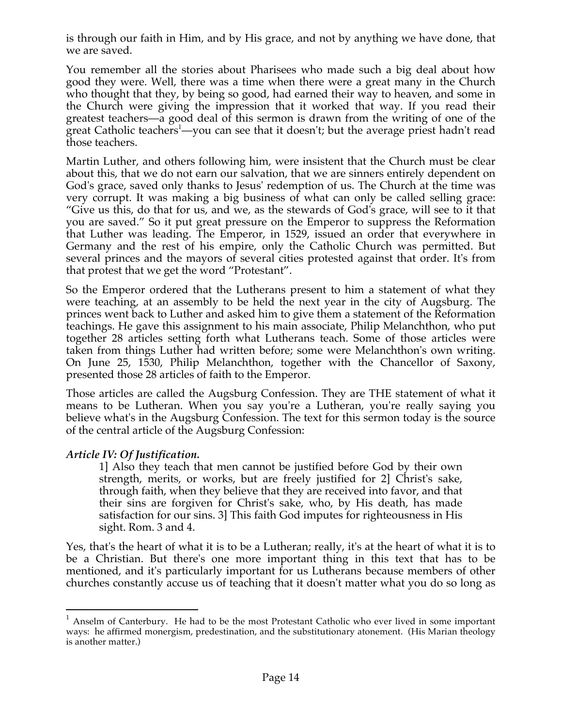is through our faith in Him, and by His grace, and not by anything we have done, that we are saved.

You remember all the stories about Pharisees who made such a big deal about how good they were. Well, there was a time when there were a great many in the Church who thought that they, by being so good, had earned their way to heaven, and some in the Church were giving the impression that it worked that way. If you read their greatest teachers—a good deal of this sermon is drawn from the writing of one of the great Catholic teachers<sup>1</sup>—you can see that it doesn't; but the average priest hadn't read those teachers.

Martin Luther, and others following him, were insistent that the Church must be clear about this, that we do not earn our salvation, that we are sinners entirely dependent on God's grace, saved only thanks to Jesus' redemption of us. The Church at the time was very corrupt. It was making a big business of what can only be called selling grace: "Give us this, do that for us, and we, as the stewards of God's grace, will see to it that you are saved." So it put great pressure on the Emperor to suppress the Reformation that Luther was leading. The Emperor, in 1529, issued an order that everywhere in Germany and the rest of his empire, only the Catholic Church was permitted. But several princes and the mayors of several cities protested against that order. It's from that protest that we get the word "Protestant".

So the Emperor ordered that the Lutherans present to him a statement of what they were teaching, at an assembly to be held the next year in the city of Augsburg. The princes went back to Luther and asked him to give them a statement of the Reformation teachings. He gave this assignment to his main associate, Philip Melanchthon, who put together 28 articles setting forth what Lutherans teach. Some of those articles were taken from things Luther had written before; some were Melanchthon's own writing. On June 25, 1530, Philip Melanchthon, together with the Chancellor of Saxony, presented those 28 articles of faith to the Emperor.

Those articles are called the Augsburg Confession. They are THE statement of what it means to be Lutheran. When you say you're a Lutheran, you're really saying you believe what's in the Augsburg Confession. The text for this sermon today is the source of the central article of the Augsburg Confession:

#### *Article IV: Of Justification.*

1] Also they teach that men cannot be justified before God by their own strength, merits, or works, but are freely justified for 2] Christ's sake, through faith, when they believe that they are received into favor, and that their sins are forgiven for Christ's sake, who, by His death, has made satisfaction for our sins. 3] This faith God imputes for righteousness in His sight. Rom. 3 and 4.

Yes, that's the heart of what it is to be a Lutheran; really, it's at the heart of what it is to be a Christian. But there's one more important thing in this text that has to be mentioned, and it's particularly important for us Lutherans because members of other churches constantly accuse us of teaching that it doesn't matter what you do so long as

 $1$  Anselm of Canterbury. He had to be the most Protestant Catholic who ever lived in some important ways: he affirmed monergism, predestination, and the substitutionary atonement. (His Marian theology is another matter.)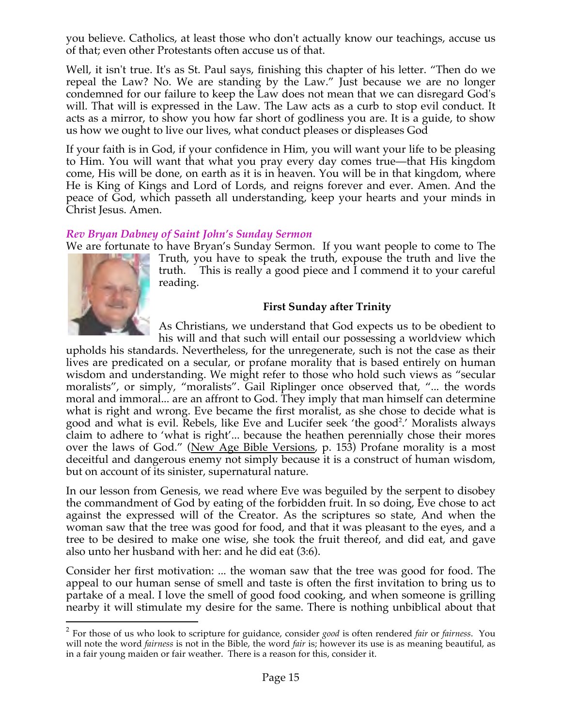you believe. Catholics, at least those who don't actually know our teachings, accuse us of that; even other Protestants often accuse us of that.

Well, it isn't true. It's as St. Paul says, finishing this chapter of his letter. "Then do we repeal the Law? No. We are standing by the Law." Just because we are no longer condemned for our failure to keep the Law does not mean that we can disregard God's will. That will is expressed in the Law. The Law acts as a curb to stop evil conduct. It acts as a mirror, to show you how far short of godliness you are. It is a guide, to show us how we ought to live our lives, what conduct pleases or displeases God

If your faith is in God, if your confidence in Him, you will want your life to be pleasing to Him. You will want that what you pray every day comes true—that His kingdom come, His will be done, on earth as it is in heaven. You will be in that kingdom, where He is King of Kings and Lord of Lords, and reigns forever and ever. Amen. And the peace of God, which passeth all understanding, keep your hearts and your minds in Christ Jesus. Amen.

### *Rev Bryan Dabney of Saint John's Sunday Sermon*

We are fortunate to have Bryan's Sunday Sermon. If you want people to come to The



Truth, you have to speak the truth, expouse the truth and live the truth. This is really a good piece and I commend it to your careful reading.

### **First Sunday after Trinity**

As Christians, we understand that God expects us to be obedient to his will and that such will entail our possessing a worldview which

upholds his standards. Nevertheless, for the unregenerate, such is not the case as their lives are predicated on a secular, or profane morality that is based entirely on human wisdom and understanding. We might refer to those who hold such views as "secular moralists", or simply, "moralists". Gail Riplinger once observed that, "... the words moral and immoral... are an affront to God. They imply that man himself can determine what is right and wrong. Eve became the first moralist, as she chose to decide what is good and what is evil. Rebels, like Eve and Lucifer seek 'the good<sup>2</sup>.' Moralists always claim to adhere to 'what is right'... because the heathen perennially chose their mores over the laws of God." (New Age Bible Versions, p. 153) Profane morality is a most deceitful and dangerous enemy not simply because it is a construct of human wisdom, but on account of its sinister, supernatural nature.

In our lesson from Genesis, we read where Eve was beguiled by the serpent to disobey the commandment of God by eating of the forbidden fruit. In so doing, Eve chose to act against the expressed will of the Creator. As the scriptures so state, And when the woman saw that the tree was good for food, and that it was pleasant to the eyes, and a tree to be desired to make one wise, she took the fruit thereof, and did eat, and gave also unto her husband with her: and he did eat (3:6).

Consider her first motivation: ... the woman saw that the tree was good for food. The appeal to our human sense of smell and taste is often the first invitation to bring us to partake of a meal. I love the smell of good food cooking, and when someone is grilling nearby it will stimulate my desire for the same. There is nothing unbiblical about that

 <sup>2</sup> For those of us who look to scripture for guidance, consider *good* is often rendered *fair* or *fairness*. You will note the word *fairness* is not in the Bible, the word *fair* is; however its use is as meaning beautiful, as in a fair young maiden or fair weather. There is a reason for this, consider it.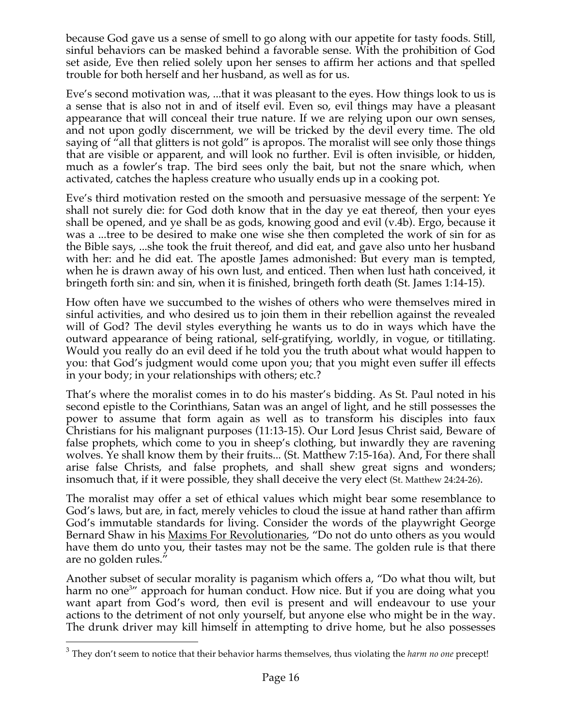because God gave us a sense of smell to go along with our appetite for tasty foods. Still, sinful behaviors can be masked behind a favorable sense. With the prohibition of God set aside, Eve then relied solely upon her senses to affirm her actions and that spelled trouble for both herself and her husband, as well as for us.

Eve's second motivation was, ...that it was pleasant to the eyes. How things look to us is a sense that is also not in and of itself evil. Even so, evil things may have a pleasant appearance that will conceal their true nature. If we are relying upon our own senses, and not upon godly discernment, we will be tricked by the devil every time. The old saying of "all that glitters is not gold" is apropos. The moralist will see only those things that are visible or apparent, and will look no further. Evil is often invisible, or hidden, much as a fowler's trap. The bird sees only the bait, but not the snare which, when activated, catches the hapless creature who usually ends up in a cooking pot.

Eve's third motivation rested on the smooth and persuasive message of the serpent: Ye shall not surely die: for God doth know that in the day ye eat thereof, then your eyes shall be opened, and ye shall be as gods, knowing good and evil (v.4b). Ergo, because it was a ...tree to be desired to make one wise she then completed the work of sin for as the Bible says, ...she took the fruit thereof, and did eat, and gave also unto her husband with her: and he did eat. The apostle James admonished: But every man is tempted, when he is drawn away of his own lust, and enticed. Then when lust hath conceived, it bringeth forth sin: and sin, when it is finished, bringeth forth death (St. James 1:14-15).

How often have we succumbed to the wishes of others who were themselves mired in sinful activities, and who desired us to join them in their rebellion against the revealed will of God? The devil styles everything he wants us to do in ways which have the outward appearance of being rational, self-gratifying, worldly, in vogue, or titillating. Would you really do an evil deed if he told you the truth about what would happen to you: that God's judgment would come upon you; that you might even suffer ill effects in your body; in your relationships with others; etc.?

That's where the moralist comes in to do his master's bidding. As St. Paul noted in his second epistle to the Corinthians, Satan was an angel of light, and he still possesses the power to assume that form again as well as to transform his disciples into faux Christians for his malignant purposes (11:13-15). Our Lord Jesus Christ said, Beware of false prophets, which come to you in sheep's clothing, but inwardly they are ravening wolves. Ye shall know them by their fruits... (St. Matthew 7:15-16a). And, For there shall arise false Christs, and false prophets, and shall shew great signs and wonders; insomuch that, if it were possible, they shall deceive the very elect (St. Matthew 24:24-26).

The moralist may offer a set of ethical values which might bear some resemblance to God's laws, but are, in fact, merely vehicles to cloud the issue at hand rather than affirm God's immutable standards for living. Consider the words of the playwright George Bernard Shaw in his Maxims For Revolutionaries, "Do not do unto others as you would have them do unto you, their tastes may not be the same. The golden rule is that there are no golden rules."

Another subset of secular morality is paganism which offers a, "Do what thou wilt, but harm no one<sup>3</sup>" approach for human conduct. How nice. But if you are doing what you want apart from God's word, then evil is present and will endeavour to use your actions to the detriment of not only yourself, but anyone else who might be in the way. The drunk driver may kill himself in attempting to drive home, but he also possesses

 <sup>3</sup> They don't seem to notice that their behavior harms themselves, thus violating the *harm no one* precept!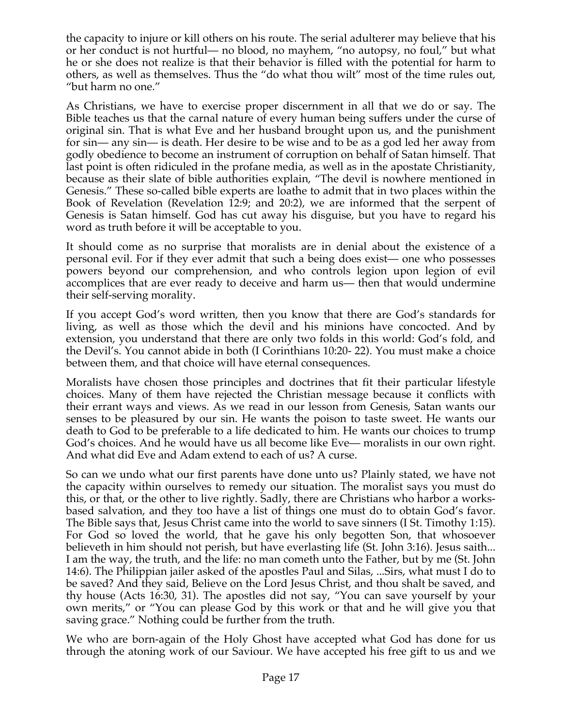the capacity to injure or kill others on his route. The serial adulterer may believe that his or her conduct is not hurtful— no blood, no mayhem, "no autopsy, no foul," but what he or she does not realize is that their behavior is filled with the potential for harm to others, as well as themselves. Thus the "do what thou wilt" most of the time rules out, "but harm no one."

As Christians, we have to exercise proper discernment in all that we do or say. The Bible teaches us that the carnal nature of every human being suffers under the curse of original sin. That is what Eve and her husband brought upon us, and the punishment for sin— any sin— is death. Her desire to be wise and to be as a god led her away from godly obedience to become an instrument of corruption on behalf of Satan himself. That last point is often ridiculed in the profane media, as well as in the apostate Christianity, because as their slate of bible authorities explain, "The devil is nowhere mentioned in Genesis." These so-called bible experts are loathe to admit that in two places within the Book of Revelation (Revelation 12:9; and 20:2), we are informed that the serpent of Genesis is Satan himself. God has cut away his disguise, but you have to regard his word as truth before it will be acceptable to you.

It should come as no surprise that moralists are in denial about the existence of a personal evil. For if they ever admit that such a being does exist— one who possesses powers beyond our comprehension, and who controls legion upon legion of evil accomplices that are ever ready to deceive and harm us— then that would undermine their self-serving morality.

If you accept God's word written, then you know that there are God's standards for living, as well as those which the devil and his minions have concocted. And by extension, you understand that there are only two folds in this world: God's fold, and the Devil's. You cannot abide in both (I Corinthians 10:20- 22). You must make a choice between them, and that choice will have eternal consequences.

Moralists have chosen those principles and doctrines that fit their particular lifestyle choices. Many of them have rejected the Christian message because it conflicts with their errant ways and views. As we read in our lesson from Genesis, Satan wants our senses to be pleasured by our sin. He wants the poison to taste sweet. He wants our death to God to be preferable to a life dedicated to him. He wants our choices to trump God's choices. And he would have us all become like Eve— moralists in our own right. And what did Eve and Adam extend to each of us? A curse.

So can we undo what our first parents have done unto us? Plainly stated, we have not the capacity within ourselves to remedy our situation. The moralist says you must do this, or that, or the other to live rightly. Sadly, there are Christians who harbor a worksbased salvation, and they too have a list of things one must do to obtain God's favor. The Bible says that, Jesus Christ came into the world to save sinners (I St. Timothy 1:15). For God so loved the world, that he gave his only begotten Son, that whosoever believeth in him should not perish, but have everlasting life (St. John 3:16). Jesus saith... I am the way, the truth, and the life: no man cometh unto the Father, but by me (St. John 14:6). The Philippian jailer asked of the apostles Paul and Silas, ...Sirs, what must I do to be saved? And they said, Believe on the Lord Jesus Christ, and thou shalt be saved, and thy house (Acts 16:30, 31). The apostles did not say, "You can save yourself by your own merits," or "You can please God by this work or that and he will give you that saving grace." Nothing could be further from the truth.

We who are born-again of the Holy Ghost have accepted what God has done for us through the atoning work of our Saviour. We have accepted his free gift to us and we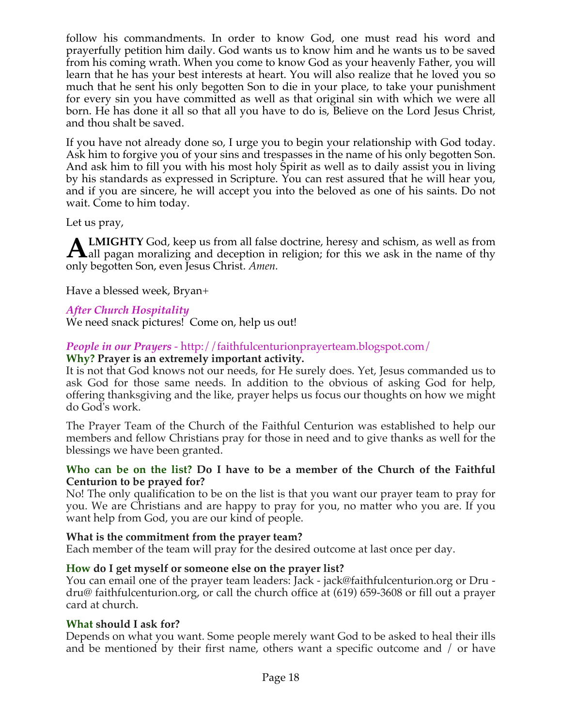follow his commandments. In order to know God, one must read his word and prayerfully petition him daily. God wants us to know him and he wants us to be saved from his coming wrath. When you come to know God as your heavenly Father, you will learn that he has your best interests at heart. You will also realize that he loved you so much that he sent his only begotten Son to die in your place, to take your punishment for every sin you have committed as well as that original sin with which we were all born. He has done it all so that all you have to do is, Believe on the Lord Jesus Christ, and thou shalt be saved.

If you have not already done so, I urge you to begin your relationship with God today. Ask him to forgive you of your sins and trespasses in the name of his only begotten Son. And ask him to fill you with his most holy Spirit as well as to daily assist you in living by his standards as expressed in Scripture. You can rest assured that he will hear you, and if you are sincere, he will accept you into the beloved as one of his saints. Do not wait. Come to him today.

Let us pray,

**LMIGHTY** God, keep us from all false doctrine, heresy and schism, as well as from **ALMIGHTY** God, keep us from all false doctrine, heresy and schism, as well as from all pagan moralizing and deception in religion; for this we ask in the name of thy only begotten Son, even Jesus Christ. *Amen.*

Have a blessed week, Bryan+

# *After Church Hospitality*

We need snack pictures! Come on, help us out!

### *People in our Prayers* - http://faithfulcenturionprayerteam.blogspot.com/

#### **Why? Prayer is an extremely important activity.**

It is not that God knows not our needs, for He surely does. Yet, Jesus commanded us to ask God for those same needs. In addition to the obvious of asking God for help, offering thanksgiving and the like, prayer helps us focus our thoughts on how we might do God's work.

The Prayer Team of the Church of the Faithful Centurion was established to help our members and fellow Christians pray for those in need and to give thanks as well for the blessings we have been granted.

#### **Who can be on the list? Do I have to be a member of the Church of the Faithful Centurion to be prayed for?**

No! The only qualification to be on the list is that you want our prayer team to pray for you. We are Christians and are happy to pray for you, no matter who you are. If you want help from God, you are our kind of people.

#### **What is the commitment from the prayer team?**

Each member of the team will pray for the desired outcome at last once per day.

#### **How do I get myself or someone else on the prayer list?**

You can email one of the prayer team leaders: Jack - jack@faithfulcenturion.org or Dru dru@ faithfulcenturion.org, or call the church office at (619) 659-3608 or fill out a prayer card at church.

#### **What should I ask for?**

Depends on what you want. Some people merely want God to be asked to heal their ills and be mentioned by their first name, others want a specific outcome and / or have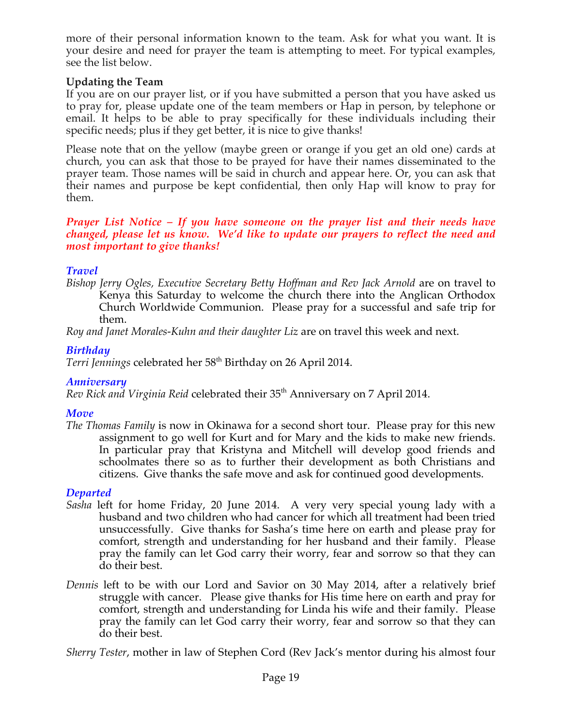more of their personal information known to the team. Ask for what you want. It is your desire and need for prayer the team is attempting to meet. For typical examples, see the list below.

### **Updating the Team**

If you are on our prayer list, or if you have submitted a person that you have asked us to pray for, please update one of the team members or Hap in person, by telephone or email. It helps to be able to pray specifically for these individuals including their specific needs; plus if they get better, it is nice to give thanks!

Please note that on the yellow (maybe green or orange if you get an old one) cards at church, you can ask that those to be prayed for have their names disseminated to the prayer team. Those names will be said in church and appear here. Or, you can ask that their names and purpose be kept confidential, then only Hap will know to pray for them.

#### *Prayer List Notice – If you have someone on the prayer list and their needs have changed, please let us know. We'd like to update our prayers to reflect the need and most important to give thanks!*

# *Travel*

*Bishop Jerry Ogles, Executive Secretary Betty Hoffman and Rev Jack Arnold* are on travel to Kenya this Saturday to welcome the church there into the Anglican Orthodox Church Worldwide Communion. Please pray for a successful and safe trip for them.

*Roy and Janet Morales-Kuhn and their daughter Liz* are on travel this week and next.

# *Birthday*

Terri Jennings celebrated her 58<sup>th</sup> Birthday on 26 April 2014.

# *Anniversary*

*Rev Rick and Virginia Reid* celebrated their 35<sup>th</sup> Anniversary on 7 April 2014.

# *Move*

*The Thomas Family* is now in Okinawa for a second short tour. Please pray for this new assignment to go well for Kurt and for Mary and the kids to make new friends. In particular pray that Kristyna and Mitchell will develop good friends and schoolmates there so as to further their development as both Christians and citizens. Give thanks the safe move and ask for continued good developments.

# *Departed*

- *Sasha* left for home Friday, 20 June 2014. A very very special young lady with a husband and two children who had cancer for which all treatment had been tried unsuccessfully. Give thanks for Sasha's time here on earth and please pray for comfort, strength and understanding for her husband and their family. Please pray the family can let God carry their worry, fear and sorrow so that they can do their best.
- *Dennis* left to be with our Lord and Savior on 30 May 2014, after a relatively brief struggle with cancer. Please give thanks for His time here on earth and pray for comfort, strength and understanding for Linda his wife and their family. Please pray the family can let God carry their worry, fear and sorrow so that they can do their best.

*Sherry Tester*, mother in law of Stephen Cord (Rev Jack's mentor during his almost four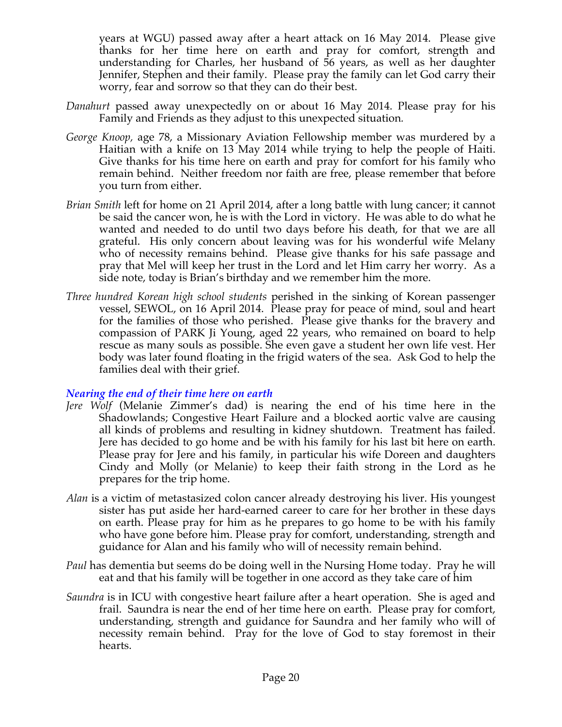years at WGU) passed away after a heart attack on 16 May 2014. Please give thanks for her time here on earth and pray for comfort, strength and understanding for Charles, her husband of  $\frac{1}{56}$  years, as well as her daughter Jennifer, Stephen and their family. Please pray the family can let God carry their worry, fear and sorrow so that they can do their best.

- *Danahurt* passed away unexpectedly on or about 16 May 2014. Please pray for his Family and Friends as they adjust to this unexpected situation*.*
- *George Knoop,* age 78, a Missionary Aviation Fellowship member was murdered by a Haitian with a knife on 13 May 2014 while trying to help the people of Haiti. Give thanks for his time here on earth and pray for comfort for his family who remain behind. Neither freedom nor faith are free, please remember that before you turn from either.
- *Brian Smith* left for home on 21 April 2014, after a long battle with lung cancer; it cannot be said the cancer won, he is with the Lord in victory. He was able to do what he wanted and needed to do until two days before his death, for that we are all grateful. His only concern about leaving was for his wonderful wife Melany who of necessity remains behind. Please give thanks for his safe passage and pray that Mel will keep her trust in the Lord and let Him carry her worry. As a side note, today is Brian's birthday and we remember him the more.
- *Three hundred Korean high school students* perished in the sinking of Korean passenger vessel, SEWOL, on 16 April 2014. Please pray for peace of mind, soul and heart for the families of those who perished. Please give thanks for the bravery and compassion of PARK Ji Young, aged 22 years, who remained on board to help rescue as many souls as possible. She even gave a student her own life vest. Her body was later found floating in the frigid waters of the sea. Ask God to help the families deal with their grief.

#### *Nearing the end of their time here on earth*

- *Jere Wolf* (Melanie Zimmer's dad) is nearing the end of his time here in the Shadowlands; Congestive Heart Failure and a blocked aortic valve are causing all kinds of problems and resulting in kidney shutdown. Treatment has failed. Jere has decided to go home and be with his family for his last bit here on earth. Please pray for Jere and his family, in particular his wife Doreen and daughters Cindy and Molly (or Melanie) to keep their faith strong in the Lord as he prepares for the trip home.
- *Alan* is a victim of metastasized colon cancer already destroying his liver. His youngest sister has put aside her hard-earned career to care for her brother in these days on earth. Please pray for him as he prepares to go home to be with his family who have gone before him. Please pray for comfort, understanding, strength and guidance for Alan and his family who will of necessity remain behind.
- *Paul* has dementia but seems do be doing well in the Nursing Home today. Pray he will eat and that his family will be together in one accord as they take care of him
- *Saundra* is in ICU with congestive heart failure after a heart operation. She is aged and frail. Saundra is near the end of her time here on earth. Please pray for comfort, understanding, strength and guidance for Saundra and her family who will of necessity remain behind. Pray for the love of God to stay foremost in their hearts.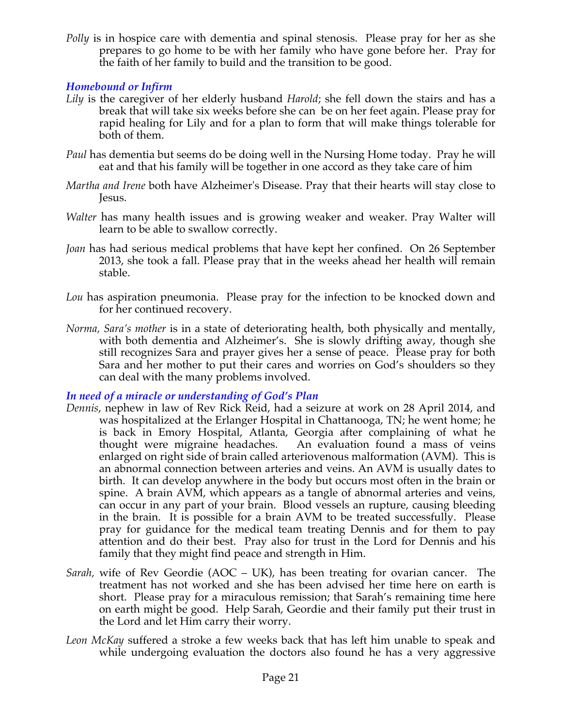*Polly* is in hospice care with dementia and spinal stenosis. Please pray for her as she prepares to go home to be with her family who have gone before her. Pray for the faith of her family to build and the transition to be good.

## *Homebound or Infirm*

- *Lily* is the caregiver of her elderly husband *Harold*; she fell down the stairs and has a break that will take six weeks before she can be on her feet again. Please pray for rapid healing for Lily and for a plan to form that will make things tolerable for both of them.
- *Paul* has dementia but seems do be doing well in the Nursing Home today. Pray he will eat and that his family will be together in one accord as they take care of him
- *Martha and Irene* both have Alzheimer's Disease. Pray that their hearts will stay close to Jesus.
- *Walter* has many health issues and is growing weaker and weaker. Pray Walter will learn to be able to swallow correctly.
- *Joan* has had serious medical problems that have kept her confined. On 26 September 2013, she took a fall. Please pray that in the weeks ahead her health will remain stable.
- *Lou* has aspiration pneumonia. Please pray for the infection to be knocked down and for her continued recovery.
- *Norma, Sara's mother* is in a state of deteriorating health, both physically and mentally, with both dementia and Alzheimer's. She is slowly drifting away, though she still recognizes Sara and prayer gives her a sense of peace. Please pray for both Sara and her mother to put their cares and worries on God's shoulders so they can deal with the many problems involved.

#### *In need of a miracle or understanding of God's Plan*

- *Dennis*, nephew in law of Rev Rick Reid, had a seizure at work on 28 April 2014, and was hospitalized at the Erlanger Hospital in Chattanooga, TN; he went home; he is back in Emory Hospital, Atlanta, Georgia after complaining of what he thought were migraine headaches. An evaluation found a mass of veins enlarged on right side of brain called arteriovenous malformation (AVM). This is an abnormal connection between arteries and veins. An AVM is usually dates to birth. It can develop anywhere in the body but occurs most often in the brain or spine. A brain AVM, which appears as a tangle of abnormal arteries and veins, can occur in any part of your brain. Blood vessels an rupture, causing bleeding in the brain. It is possible for a brain AVM to be treated successfully. Please pray for guidance for the medical team treating Dennis and for them to pay attention and do their best. Pray also for trust in the Lord for Dennis and his family that they might find peace and strength in Him.
- *Sarah,* wife of Rev Geordie (AOC UK), has been treating for ovarian cancer. The treatment has not worked and she has been advised her time here on earth is short. Please pray for a miraculous remission; that Sarah's remaining time here on earth might be good. Help Sarah, Geordie and their family put their trust in the Lord and let Him carry their worry.
- *Leon McKay* suffered a stroke a few weeks back that has left him unable to speak and while undergoing evaluation the doctors also found he has a very aggressive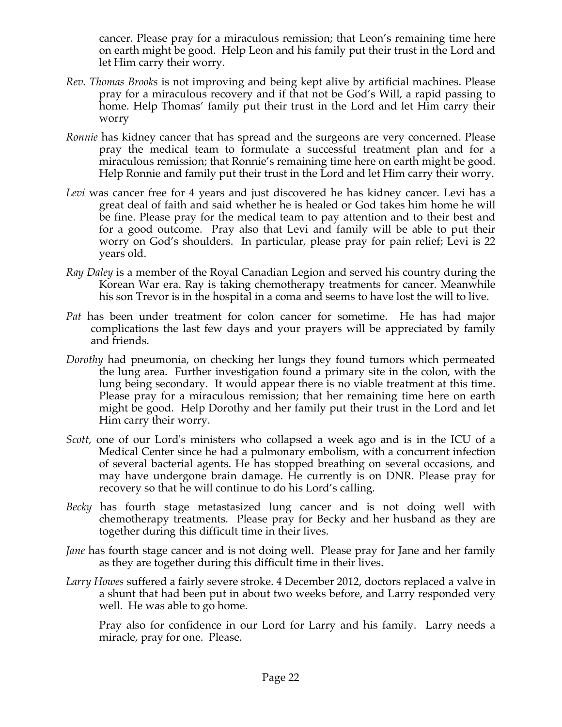cancer. Please pray for a miraculous remission; that Leon's remaining time here on earth might be good. Help Leon and his family put their trust in the Lord and let Him carry their worry.

- *Rev. Thomas Brooks* is not improving and being kept alive by artificial machines. Please pray for a miraculous recovery and if that not be God's Will, a rapid passing to home. Help Thomas' family put their trust in the Lord and let Him carry their worry
- *Ronnie* has kidney cancer that has spread and the surgeons are very concerned. Please pray the medical team to formulate a successful treatment plan and for a miraculous remission; that Ronnie's remaining time here on earth might be good. Help Ronnie and family put their trust in the Lord and let Him carry their worry.
- *Levi* was cancer free for 4 years and just discovered he has kidney cancer. Levi has a great deal of faith and said whether he is healed or God takes him home he will be fine. Please pray for the medical team to pay attention and to their best and for a good outcome. Pray also that Levi and family will be able to put their worry on God's shoulders. In particular, please pray for pain relief; Levi is 22 years old.
- *Ray Daley* is a member of the Royal Canadian Legion and served his country during the Korean War era. Ray is taking chemotherapy treatments for cancer. Meanwhile his son Trevor is in the hospital in a coma and seems to have lost the will to live.
- *Pat* has been under treatment for colon cancer for sometime. He has had major complications the last few days and your prayers will be appreciated by family and friends.
- *Dorothy* had pneumonia, on checking her lungs they found tumors which permeated the lung area. Further investigation found a primary site in the colon, with the lung being secondary. It would appear there is no viable treatment at this time. Please pray for a miraculous remission; that her remaining time here on earth might be good. Help Dorothy and her family put their trust in the Lord and let Him carry their worry.
- *Scott,* one of our Lord's ministers who collapsed a week ago and is in the ICU of a Medical Center since he had a pulmonary embolism, with a concurrent infection of several bacterial agents. He has stopped breathing on several occasions, and may have undergone brain damage. He currently is on DNR. Please pray for recovery so that he will continue to do his Lord's calling*.*
- *Becky* has fourth stage metastasized lung cancer and is not doing well with chemotherapy treatments. Please pray for Becky and her husband as they are together during this difficult time in their lives.
- *Jane* has fourth stage cancer and is not doing well. Please pray for Jane and her family as they are together during this difficult time in their lives.
- *Larry Howes* suffered a fairly severe stroke. 4 December 2012, doctors replaced a valve in a shunt that had been put in about two weeks before, and Larry responded very well. He was able to go home.

Pray also for confidence in our Lord for Larry and his family. Larry needs a miracle, pray for one. Please.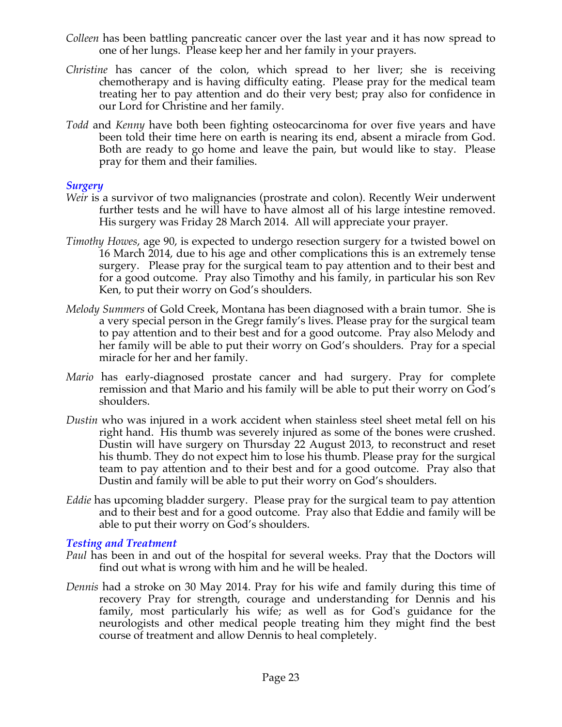- *Colleen* has been battling pancreatic cancer over the last year and it has now spread to one of her lungs. Please keep her and her family in your prayers.
- *Christine* has cancer of the colon, which spread to her liver; she is receiving chemotherapy and is having difficulty eating. Please pray for the medical team treating her to pay attention and do their very best; pray also for confidence in our Lord for Christine and her family.
- *Todd* and *Kenny* have both been fighting osteocarcinoma for over five years and have been told their time here on earth is nearing its end, absent a miracle from God. Both are ready to go home and leave the pain, but would like to stay. Please pray for them and their families.

#### *Surgery*

- *Weir* is a survivor of two malignancies (prostrate and colon). Recently Weir underwent further tests and he will have to have almost all of his large intestine removed. His surgery was Friday 28 March 2014. All will appreciate your prayer.
- *Timothy Howes*, age 90, is expected to undergo resection surgery for a twisted bowel on 16 March 2014, due to his age and other complications this is an extremely tense surgery. Please pray for the surgical team to pay attention and to their best and for a good outcome. Pray also Timothy and his family, in particular his son Rev Ken, to put their worry on God's shoulders.
- *Melody Summers* of Gold Creek, Montana has been diagnosed with a brain tumor. She is a very special person in the Gregr family's lives. Please pray for the surgical team to pay attention and to their best and for a good outcome. Pray also Melody and her family will be able to put their worry on God's shoulders. Pray for a special miracle for her and her family.
- *Mario* has early-diagnosed prostate cancer and had surgery. Pray for complete remission and that Mario and his family will be able to put their worry on God's shoulders.
- *Dustin* who was injured in a work accident when stainless steel sheet metal fell on his right hand. His thumb was severely injured as some of the bones were crushed. Dustin will have surgery on Thursday 22 August 2013, to reconstruct and reset his thumb. They do not expect him to lose his thumb. Please pray for the surgical team to pay attention and to their best and for a good outcome. Pray also that Dustin and family will be able to put their worry on God's shoulders.
- *Eddie* has upcoming bladder surgery. Please pray for the surgical team to pay attention and to their best and for a good outcome. Pray also that Eddie and family will be able to put their worry on God's shoulders.

#### *Testing and Treatment*

- *Paul* has been in and out of the hospital for several weeks. Pray that the Doctors will find out what is wrong with him and he will be healed.
- *Dennis* had a stroke on 30 May 2014. Pray for his wife and family during this time of recovery Pray for strength, courage and understanding for Dennis and his family, most particularly his wife; as well as for God's guidance for the neurologists and other medical people treating him they might find the best course of treatment and allow Dennis to heal completely.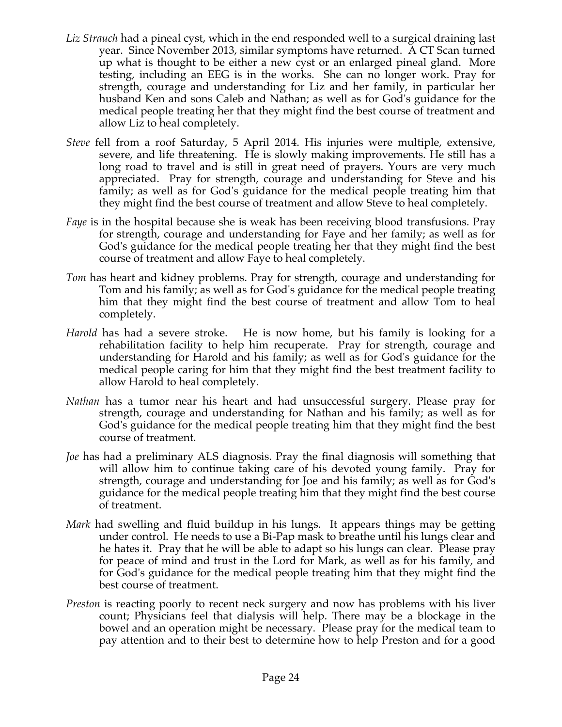- *Liz Strauch* had a pineal cyst, which in the end responded well to a surgical draining last year. Since November 2013, similar symptoms have returned. A CT Scan turned up what is thought to be either a new cyst or an enlarged pineal gland. More testing, including an EEG is in the works. She can no longer work. Pray for strength, courage and understanding for Liz and her family, in particular her husband Ken and sons Caleb and Nathan; as well as for God's guidance for the medical people treating her that they might find the best course of treatment and allow Liz to heal completely.
- *Steve* fell from a roof Saturday, 5 April 2014. His injuries were multiple, extensive, severe, and life threatening. He is slowly making improvements. He still has a long road to travel and is still in great need of prayers. Yours are very much appreciated. Pray for strength, courage and understanding for Steve and his family; as well as for God's guidance for the medical people treating him that they might find the best course of treatment and allow Steve to heal completely.
- *Faye* is in the hospital because she is weak has been receiving blood transfusions. Pray for strength, courage and understanding for Faye and her family; as well as for God's guidance for the medical people treating her that they might find the best course of treatment and allow Faye to heal completely.
- *Tom* has heart and kidney problems. Pray for strength, courage and understanding for Tom and his family; as well as for God's guidance for the medical people treating him that they might find the best course of treatment and allow Tom to heal completely.
- *Harold* has had a severe stroke. He is now home, but his family is looking for a rehabilitation facility to help him recuperate. Pray for strength, courage and understanding for Harold and his family; as well as for God's guidance for the medical people caring for him that they might find the best treatment facility to allow Harold to heal completely.
- *Nathan* has a tumor near his heart and had unsuccessful surgery. Please pray for strength, courage and understanding for Nathan and his family; as well as for God's guidance for the medical people treating him that they might find the best course of treatment.
- *Joe* has had a preliminary ALS diagnosis. Pray the final diagnosis will something that will allow him to continue taking care of his devoted young family. Pray for strength, courage and understanding for Joe and his family; as well as for God's guidance for the medical people treating him that they might find the best course of treatment.
- *Mark* had swelling and fluid buildup in his lungs. It appears things may be getting under control. He needs to use a Bi-Pap mask to breathe until his lungs clear and he hates it. Pray that he will be able to adapt so his lungs can clear. Please pray for peace of mind and trust in the Lord for Mark, as well as for his family, and for God's guidance for the medical people treating him that they might find the best course of treatment.
- *Preston* is reacting poorly to recent neck surgery and now has problems with his liver count; Physicians feel that dialysis will help. There may be a blockage in the bowel and an operation might be necessary. Please pray for the medical team to pay attention and to their best to determine how to help Preston and for a good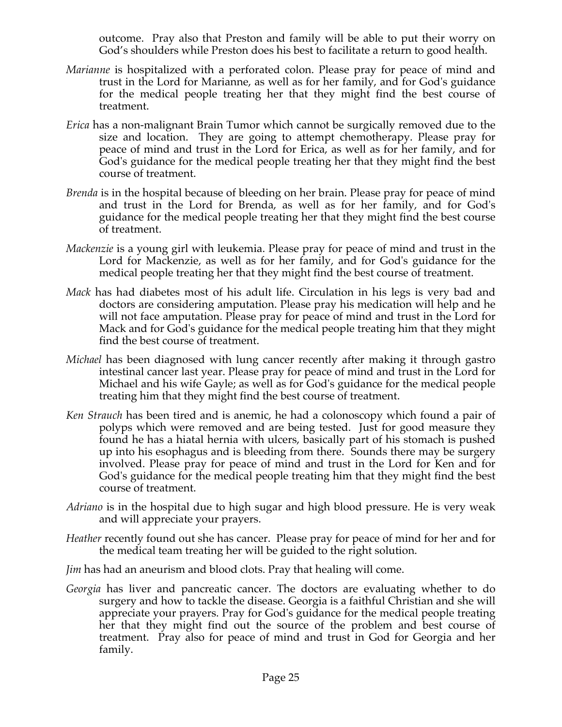outcome. Pray also that Preston and family will be able to put their worry on God's shoulders while Preston does his best to facilitate a return to good health.

- *Marianne* is hospitalized with a perforated colon. Please pray for peace of mind and trust in the Lord for Marianne, as well as for her family, and for God's guidance for the medical people treating her that they might find the best course of treatment.
- *Erica* has a non-malignant Brain Tumor which cannot be surgically removed due to the size and location. They are going to attempt chemotherapy. Please pray for peace of mind and trust in the Lord for Erica, as well as for her family, and for God's guidance for the medical people treating her that they might find the best course of treatment.
- *Brenda* is in the hospital because of bleeding on her brain. Please pray for peace of mind and trust in the Lord for Brenda, as well as for her family, and for God's guidance for the medical people treating her that they might find the best course of treatment.
- *Mackenzie* is a young girl with leukemia. Please pray for peace of mind and trust in the Lord for Mackenzie, as well as for her family, and for God's guidance for the medical people treating her that they might find the best course of treatment.
- *Mack* has had diabetes most of his adult life. Circulation in his legs is very bad and doctors are considering amputation. Please pray his medication will help and he will not face amputation. Please pray for peace of mind and trust in the Lord for Mack and for God's guidance for the medical people treating him that they might find the best course of treatment.
- *Michael* has been diagnosed with lung cancer recently after making it through gastro intestinal cancer last year. Please pray for peace of mind and trust in the Lord for Michael and his wife Gayle; as well as for God's guidance for the medical people treating him that they might find the best course of treatment.
- *Ken Strauch* has been tired and is anemic, he had a colonoscopy which found a pair of polyps which were removed and are being tested. Just for good measure they found he has a hiatal hernia with ulcers, basically part of his stomach is pushed up into his esophagus and is bleeding from there. Sounds there may be surgery involved. Please pray for peace of mind and trust in the Lord for Ken and for God's guidance for the medical people treating him that they might find the best course of treatment.
- *Adriano* is in the hospital due to high sugar and high blood pressure. He is very weak and will appreciate your prayers.
- *Heather* recently found out she has cancer. Please pray for peace of mind for her and for the medical team treating her will be guided to the right solution.
- *Jim* has had an aneurism and blood clots. Pray that healing will come.
- *Georgia* has liver and pancreatic cancer. The doctors are evaluating whether to do surgery and how to tackle the disease. Georgia is a faithful Christian and she will appreciate your prayers. Pray for God's guidance for the medical people treating her that they might find out the source of the problem and best course of treatment. Pray also for peace of mind and trust in God for Georgia and her family.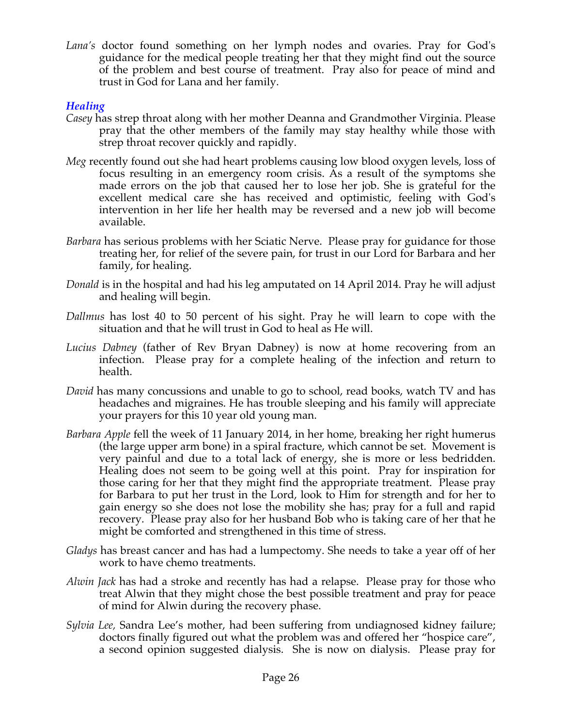*Lana's* doctor found something on her lymph nodes and ovaries. Pray for God's guidance for the medical people treating her that they might find out the source of the problem and best course of treatment. Pray also for peace of mind and trust in God for Lana and her family.

# *Healing*

- *Casey* has strep throat along with her mother Deanna and Grandmother Virginia. Please pray that the other members of the family may stay healthy while those with strep throat recover quickly and rapidly.
- *Meg* recently found out she had heart problems causing low blood oxygen levels, loss of focus resulting in an emergency room crisis. As a result of the symptoms she made errors on the job that caused her to lose her job. She is grateful for the excellent medical care she has received and optimistic, feeling with God's intervention in her life her health may be reversed and a new job will become available.
- *Barbara* has serious problems with her Sciatic Nerve. Please pray for guidance for those treating her, for relief of the severe pain, for trust in our Lord for Barbara and her family, for healing.
- *Donald* is in the hospital and had his leg amputated on 14 April 2014. Pray he will adjust and healing will begin.
- *Dallmus* has lost 40 to 50 percent of his sight. Pray he will learn to cope with the situation and that he will trust in God to heal as He will.
- *Lucius Dabney* (father of Rev Bryan Dabney) is now at home recovering from an infection. Please pray for a complete healing of the infection and return to health.
- *David* has many concussions and unable to go to school, read books, watch TV and has headaches and migraines. He has trouble sleeping and his family will appreciate your prayers for this 10 year old young man.
- *Barbara Apple* fell the week of 11 January 2014, in her home, breaking her right humerus (the large upper arm bone) in a spiral fracture, which cannot be set. Movement is very painful and due to a total lack of energy, she is more or less bedridden. Healing does not seem to be going well at this point. Pray for inspiration for those caring for her that they might find the appropriate treatment. Please pray for Barbara to put her trust in the Lord, look to Him for strength and for her to gain energy so she does not lose the mobility she has; pray for a full and rapid recovery. Please pray also for her husband Bob who is taking care of her that he might be comforted and strengthened in this time of stress.
- *Gladys* has breast cancer and has had a lumpectomy. She needs to take a year off of her work to have chemo treatments.
- *Alwin Jack* has had a stroke and recently has had a relapse. Please pray for those who treat Alwin that they might chose the best possible treatment and pray for peace of mind for Alwin during the recovery phase.
- *Sylvia Lee,* Sandra Lee's mother, had been suffering from undiagnosed kidney failure; doctors finally figured out what the problem was and offered her "hospice care", a second opinion suggested dialysis. She is now on dialysis. Please pray for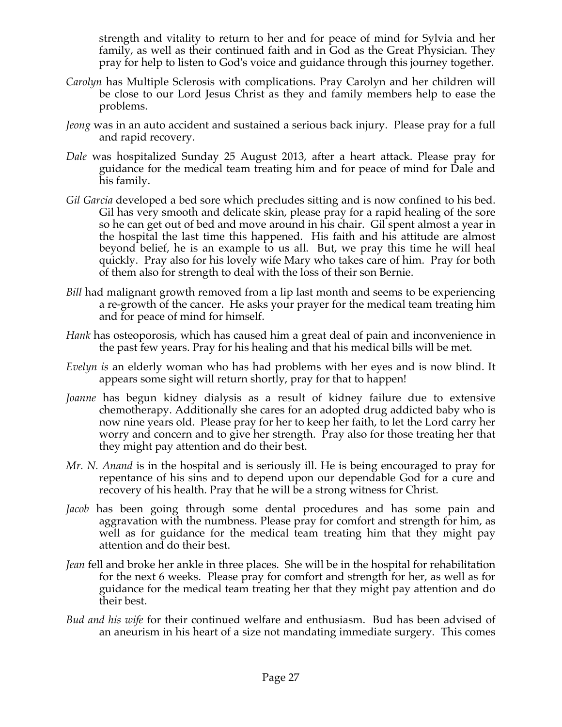strength and vitality to return to her and for peace of mind for Sylvia and her family, as well as their continued faith and in God as the Great Physician. They pray for help to listen to God's voice and guidance through this journey together.

- *Carolyn* has Multiple Sclerosis with complications. Pray Carolyn and her children will be close to our Lord Jesus Christ as they and family members help to ease the problems.
- *Jeong* was in an auto accident and sustained a serious back injury. Please pray for a full and rapid recovery.
- *Dale* was hospitalized Sunday 25 August 2013, after a heart attack. Please pray for guidance for the medical team treating him and for peace of mind for Dale and his family.
- *Gil Garcia* developed a bed sore which precludes sitting and is now confined to his bed. Gil has very smooth and delicate skin, please pray for a rapid healing of the sore so he can get out of bed and move around in his chair. Gil spent almost a year in the hospital the last time this happened. His faith and his attitude are almost beyond belief, he is an example to us all. But, we pray this time he will heal quickly. Pray also for his lovely wife Mary who takes care of him. Pray for both of them also for strength to deal with the loss of their son Bernie.
- *Bill* had malignant growth removed from a lip last month and seems to be experiencing a re-growth of the cancer. He asks your prayer for the medical team treating him and for peace of mind for himself.
- *Hank* has osteoporosis, which has caused him a great deal of pain and inconvenience in the past few years. Pray for his healing and that his medical bills will be met.
- *Evelyn is* an elderly woman who has had problems with her eyes and is now blind. It appears some sight will return shortly, pray for that to happen!
- *Joanne* has begun kidney dialysis as a result of kidney failure due to extensive chemotherapy. Additionally she cares for an adopted drug addicted baby who is now nine years old. Please pray for her to keep her faith, to let the Lord carry her worry and concern and to give her strength. Pray also for those treating her that they might pay attention and do their best.
- *Mr. N. Anand* is in the hospital and is seriously ill. He is being encouraged to pray for repentance of his sins and to depend upon our dependable God for a cure and recovery of his health. Pray that he will be a strong witness for Christ.
- *Jacob* has been going through some dental procedures and has some pain and aggravation with the numbness. Please pray for comfort and strength for him, as well as for guidance for the medical team treating him that they might pay attention and do their best.
- *Jean* fell and broke her ankle in three places. She will be in the hospital for rehabilitation for the next 6 weeks. Please pray for comfort and strength for her, as well as for guidance for the medical team treating her that they might pay attention and do their best.
- *Bud and his wife* for their continued welfare and enthusiasm. Bud has been advised of an aneurism in his heart of a size not mandating immediate surgery. This comes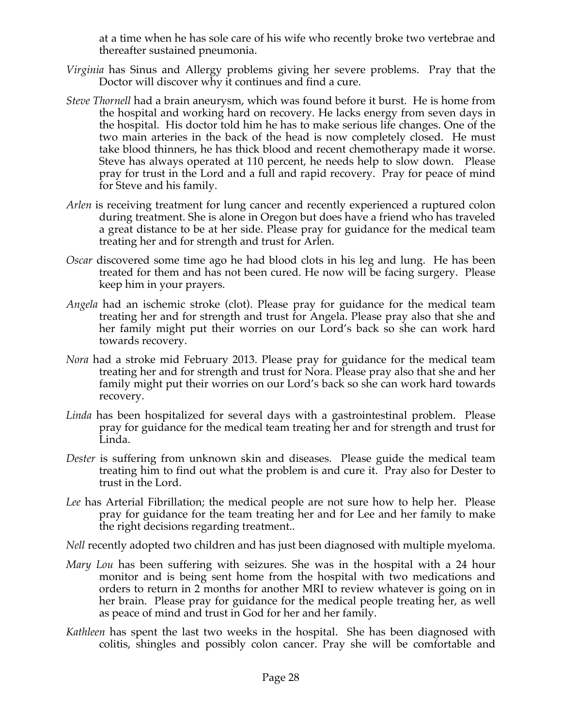at a time when he has sole care of his wife who recently broke two vertebrae and thereafter sustained pneumonia.

- *Virginia* has Sinus and Allergy problems giving her severe problems. Pray that the Doctor will discover why it continues and find a cure.
- *Steve Thornell* had a brain aneurysm, which was found before it burst. He is home from the hospital and working hard on recovery. He lacks energy from seven days in the hospital. His doctor told him he has to make serious life changes. One of the two main arteries in the back of the head is now completely closed. He must take blood thinners, he has thick blood and recent chemotherapy made it worse. Steve has always operated at 110 percent, he needs help to slow down. Please pray for trust in the Lord and a full and rapid recovery. Pray for peace of mind for Steve and his family.
- *Arlen* is receiving treatment for lung cancer and recently experienced a ruptured colon during treatment. She is alone in Oregon but does have a friend who has traveled a great distance to be at her side. Please pray for guidance for the medical team treating her and for strength and trust for Arlen.
- *Oscar* discovered some time ago he had blood clots in his leg and lung. He has been treated for them and has not been cured. He now will be facing surgery. Please keep him in your prayers.
- *Angela* had an ischemic stroke (clot). Please pray for guidance for the medical team treating her and for strength and trust for Angela. Please pray also that she and her family might put their worries on our Lord's back so she can work hard towards recovery.
- *Nora* had a stroke mid February 2013. Please pray for guidance for the medical team treating her and for strength and trust for Nora. Please pray also that she and her family might put their worries on our Lord's back so she can work hard towards recovery.
- *Linda* has been hospitalized for several days with a gastrointestinal problem. Please pray for guidance for the medical team treating her and for strength and trust for Linda.
- *Dester* is suffering from unknown skin and diseases. Please guide the medical team treating him to find out what the problem is and cure it. Pray also for Dester to trust in the Lord.
- *Lee* has Arterial Fibrillation; the medical people are not sure how to help her. Please pray for guidance for the team treating her and for Lee and her family to make the right decisions regarding treatment..

*Nell* recently adopted two children and has just been diagnosed with multiple myeloma.

- *Mary Lou* has been suffering with seizures. She was in the hospital with a 24 hour monitor and is being sent home from the hospital with two medications and orders to return in 2 months for another MRI to review whatever is going on in her brain. Please pray for guidance for the medical people treating her, as well as peace of mind and trust in God for her and her family.
- *Kathleen* has spent the last two weeks in the hospital. She has been diagnosed with colitis, shingles and possibly colon cancer. Pray she will be comfortable and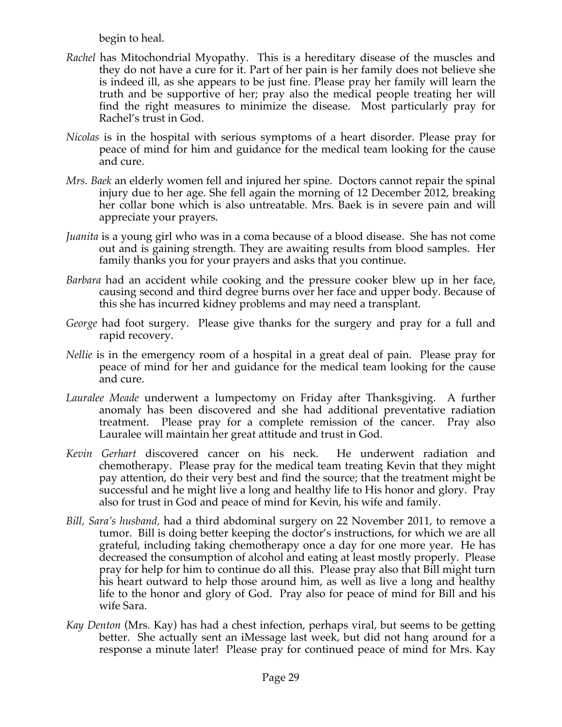begin to heal.

- *Rachel* has Mitochondrial Myopathy. This is a hereditary disease of the muscles and they do not have a cure for it. Part of her pain is her family does not believe she is indeed ill, as she appears to be just fine. Please pray her family will learn the truth and be supportive of her; pray also the medical people treating her will find the right measures to minimize the disease. Most particularly pray for Rachel's trust in God.
- *Nicolas* is in the hospital with serious symptoms of a heart disorder. Please pray for peace of mind for him and guidance for the medical team looking for the cause and cure.
- *Mrs. Baek* an elderly women fell and injured her spine. Doctors cannot repair the spinal injury due to her age. She fell again the morning of 12 December 2012, breaking her collar bone which is also untreatable. Mrs. Baek is in severe pain and will appreciate your prayers.
- *Juanita* is a young girl who was in a coma because of a blood disease. She has not come out and is gaining strength. They are awaiting results from blood samples. Her family thanks you for your prayers and asks that you continue.
- *Barbara* had an accident while cooking and the pressure cooker blew up in her face, causing second and third degree burns over her face and upper body. Because of this she has incurred kidney problems and may need a transplant.
- *George* had foot surgery. Please give thanks for the surgery and pray for a full and rapid recovery.
- *Nellie* is in the emergency room of a hospital in a great deal of pain. Please pray for peace of mind for her and guidance for the medical team looking for the cause and cure.
- *Lauralee Meade* underwent a lumpectomy on Friday after Thanksgiving. A further anomaly has been discovered and she had additional preventative radiation treatment. Please pray for a complete remission of the cancer. Pray also Lauralee will maintain her great attitude and trust in God.
- *Kevin Gerhart* discovered cancer on his neck. He underwent radiation and chemotherapy. Please pray for the medical team treating Kevin that they might pay attention, do their very best and find the source; that the treatment might be successful and he might live a long and healthy life to His honor and glory. Pray also for trust in God and peace of mind for Kevin, his wife and family.
- *Bill, Sara's husband,* had a third abdominal surgery on 22 November 2011, to remove a tumor. Bill is doing better keeping the doctor's instructions, for which we are all grateful, including taking chemotherapy once a day for one more year. He has decreased the consumption of alcohol and eating at least mostly properly. Please pray for help for him to continue do all this. Please pray also that Bill might turn his heart outward to help those around him, as well as live a long and healthy life to the honor and glory of God. Pray also for peace of mind for Bill and his wife Sara.
- *Kay Denton* (Mrs. Kay) has had a chest infection, perhaps viral, but seems to be getting better. She actually sent an iMessage last week, but did not hang around for a response a minute later! Please pray for continued peace of mind for Mrs. Kay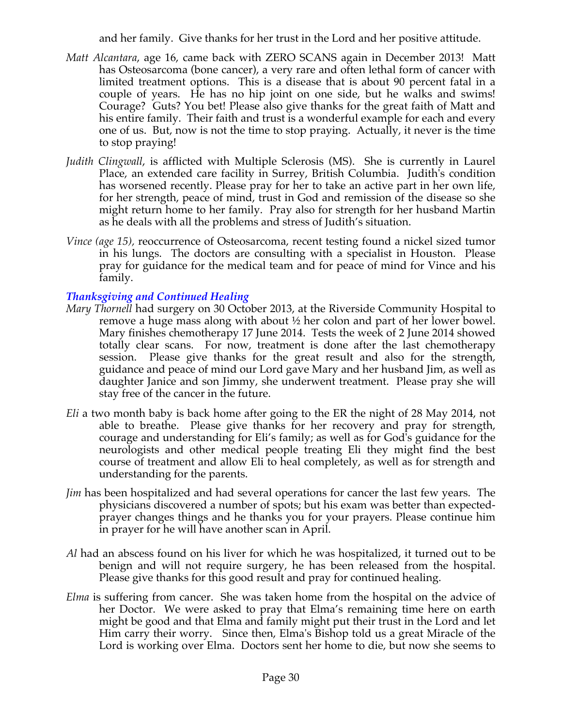and her family. Give thanks for her trust in the Lord and her positive attitude.

- *Matt Alcantara*, age 16, came back with ZERO SCANS again in December 2013! Matt has Osteosarcoma (bone cancer), a very rare and often lethal form of cancer with limited treatment options. This is a disease that is about 90 percent fatal in a couple of years. He has no hip joint on one side, but he walks and swims! Courage? Guts? You bet! Please also give thanks for the great faith of Matt and his entire family. Their faith and trust is a wonderful example for each and every one of us. But, now is not the time to stop praying. Actually, it never is the time to stop praying!
- *Judith Clingwall*, is afflicted with Multiple Sclerosis (MS). She is currently in Laurel Place, an extended care facility in Surrey, British Columbia. Judith's condition has worsened recently. Please pray for her to take an active part in her own life, for her strength, peace of mind, trust in God and remission of the disease so she might return home to her family. Pray also for strength for her husband Martin as he deals with all the problems and stress of Judith's situation.
- *Vince (age 15),* reoccurrence of Osteosarcoma, recent testing found a nickel sized tumor in his lungs. The doctors are consulting with a specialist in Houston. Please pray for guidance for the medical team and for peace of mind for Vince and his family.

# *Thanksgiving and Continued Healing*

- *Mary Thornell* had surgery on 30 October 2013, at the Riverside Community Hospital to remove a huge mass along with about ½ her colon and part of her lower bowel. Mary finishes chemotherapy 17 June 2014. Tests the week of 2 June 2014 showed totally clear scans. For now, treatment is done after the last chemotherapy session. Please give thanks for the great result and also for the strength, guidance and peace of mind our Lord gave Mary and her husband Jim, as well as daughter Janice and son Jimmy, she underwent treatment. Please pray she will stay free of the cancer in the future.
- *Eli* a two month baby is back home after going to the ER the night of 28 May 2014, not able to breathe. Please give thanks for her recovery and pray for strength, courage and understanding for Eli's family; as well as for God's guidance for the neurologists and other medical people treating Eli they might find the best course of treatment and allow Eli to heal completely, as well as for strength and understanding for the parents.
- *Jim* has been hospitalized and had several operations for cancer the last few years. The physicians discovered a number of spots; but his exam was better than expectedprayer changes things and he thanks you for your prayers. Please continue him in prayer for he will have another scan in April.
- *Al* had an abscess found on his liver for which he was hospitalized, it turned out to be benign and will not require surgery, he has been released from the hospital. Please give thanks for this good result and pray for continued healing.
- *Elma* is suffering from cancer. She was taken home from the hospital on the advice of her Doctor. We were asked to pray that Elma's remaining time here on earth might be good and that Elma and family might put their trust in the Lord and let Him carry their worry. Since then, Elma's Bishop told us a great Miracle of the Lord is working over Elma. Doctors sent her home to die, but now she seems to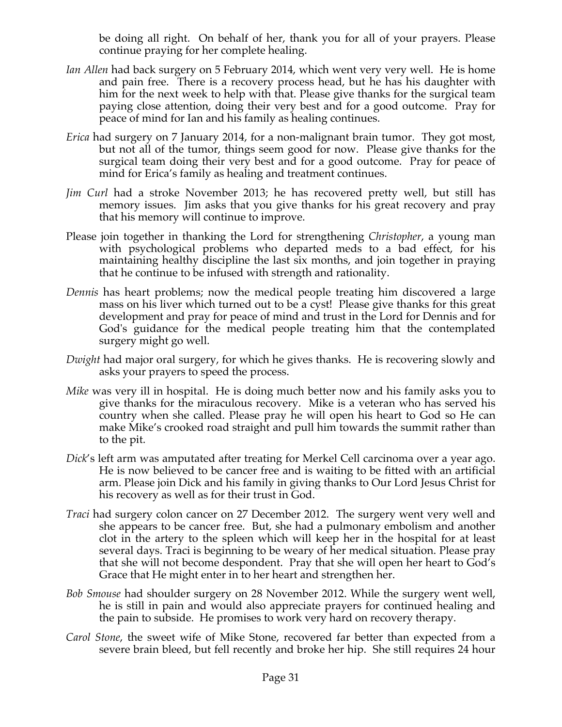be doing all right. On behalf of her, thank you for all of your prayers. Please continue praying for her complete healing.

- *Ian Allen* had back surgery on 5 February 2014, which went very very well. He is home and pain free. There is a recovery process head, but he has his daughter with him for the next week to help with that. Please give thanks for the surgical team paying close attention, doing their very best and for a good outcome. Pray for peace of mind for Ian and his family as healing continues.
- *Erica* had surgery on 7 January 2014, for a non-malignant brain tumor. They got most, but not all of the tumor, things seem good for now. Please give thanks for the surgical team doing their very best and for a good outcome. Pray for peace of mind for Erica's family as healing and treatment continues.
- *Jim Curl* had a stroke November 2013; he has recovered pretty well, but still has memory issues. Jim asks that you give thanks for his great recovery and pray that his memory will continue to improve.
- Please join together in thanking the Lord for strengthening *Christopher*, a young man with psychological problems who departed meds to a bad effect, for his maintaining healthy discipline the last six months, and join together in praying that he continue to be infused with strength and rationality.
- *Dennis* has heart problems; now the medical people treating him discovered a large mass on his liver which turned out to be a cyst! Please give thanks for this great development and pray for peace of mind and trust in the Lord for Dennis and for God's guidance for the medical people treating him that the contemplated surgery might go well.
- *Dwight* had major oral surgery, for which he gives thanks. He is recovering slowly and asks your prayers to speed the process.
- *Mike* was very ill in hospital. He is doing much better now and his family asks you to give thanks for the miraculous recovery. Mike is a veteran who has served his country when she called. Please pray he will open his heart to God so He can make Mike's crooked road straight and pull him towards the summit rather than to the pit.
- *Dick*'s left arm was amputated after treating for Merkel Cell carcinoma over a year ago. He is now believed to be cancer free and is waiting to be fitted with an artificial arm. Please join Dick and his family in giving thanks to Our Lord Jesus Christ for his recovery as well as for their trust in God.
- *Traci* had surgery colon cancer on 27 December 2012. The surgery went very well and she appears to be cancer free. But, she had a pulmonary embolism and another clot in the artery to the spleen which will keep her in the hospital for at least several days. Traci is beginning to be weary of her medical situation. Please pray that she will not become despondent. Pray that she will open her heart to God's Grace that He might enter in to her heart and strengthen her.
- *Bob Smouse* had shoulder surgery on 28 November 2012. While the surgery went well, he is still in pain and would also appreciate prayers for continued healing and the pain to subside. He promises to work very hard on recovery therapy.
- *Carol Stone*, the sweet wife of Mike Stone, recovered far better than expected from a severe brain bleed, but fell recently and broke her hip. She still requires 24 hour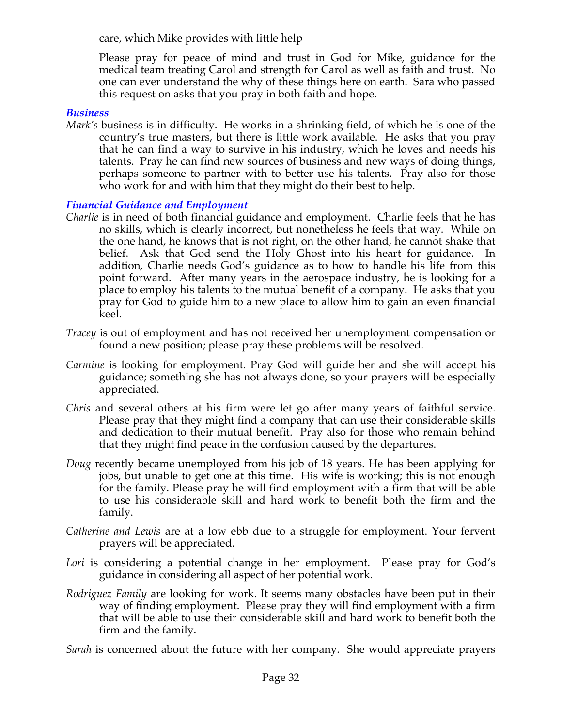care, which Mike provides with little help

Please pray for peace of mind and trust in God for Mike, guidance for the medical team treating Carol and strength for Carol as well as faith and trust. No one can ever understand the why of these things here on earth. Sara who passed this request on asks that you pray in both faith and hope.

#### *Business*

*Mark's* business is in difficulty. He works in a shrinking field, of which he is one of the country's true masters, but there is little work available. He asks that you pray that he can find a way to survive in his industry, which he loves and needs his talents. Pray he can find new sources of business and new ways of doing things, perhaps someone to partner with to better use his talents. Pray also for those who work for and with him that they might do their best to help.

# *Financial Guidance and Employment*

- *Charlie* is in need of both financial guidance and employment. Charlie feels that he has no skills, which is clearly incorrect, but nonetheless he feels that way. While on the one hand, he knows that is not right, on the other hand, he cannot shake that belief. Ask that God send the Holy Ghost into his heart for guidance. In addition, Charlie needs God's guidance as to how to handle his life from this point forward. After many years in the aerospace industry, he is looking for a place to employ his talents to the mutual benefit of a company. He asks that you pray for God to guide him to a new place to allow him to gain an even financial keel.
- *Tracey* is out of employment and has not received her unemployment compensation or found a new position; please pray these problems will be resolved.
- *Carmine* is looking for employment. Pray God will guide her and she will accept his guidance; something she has not always done, so your prayers will be especially appreciated.
- *Chris* and several others at his firm were let go after many years of faithful service. Please pray that they might find a company that can use their considerable skills and dedication to their mutual benefit. Pray also for those who remain behind that they might find peace in the confusion caused by the departures.
- *Doug* recently became unemployed from his job of 18 years. He has been applying for jobs, but unable to get one at this time. His wife is working; this is not enough for the family. Please pray he will find employment with a firm that will be able to use his considerable skill and hard work to benefit both the firm and the family.
- *Catherine and Lewis* are at a low ebb due to a struggle for employment. Your fervent prayers will be appreciated.
- Lori is considering a potential change in her employment. Please pray for God's guidance in considering all aspect of her potential work.
- *Rodriguez Family* are looking for work. It seems many obstacles have been put in their way of finding employment. Please pray they will find employment with a firm that will be able to use their considerable skill and hard work to benefit both the firm and the family.

*Sarah* is concerned about the future with her company. She would appreciate prayers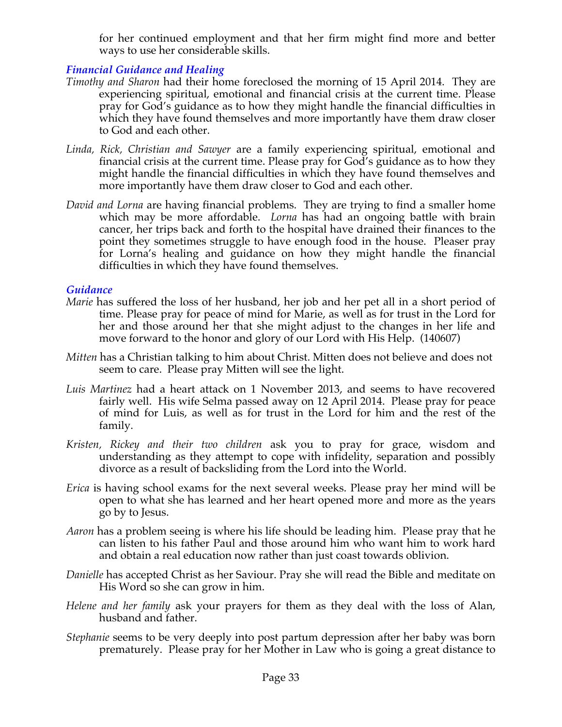for her continued employment and that her firm might find more and better ways to use her considerable skills.

# *Financial Guidance and Healing*

- *Timothy and Sharon* had their home foreclosed the morning of 15 April 2014. They are experiencing spiritual, emotional and financial crisis at the current time. Please pray for God's guidance as to how they might handle the financial difficulties in which they have found themselves and more importantly have them draw closer to God and each other.
- *Linda, Rick, Christian and Sawyer* are a family experiencing spiritual, emotional and financial crisis at the current time. Please pray for God's guidance as to how they might handle the financial difficulties in which they have found themselves and more importantly have them draw closer to God and each other.
- *David and Lorna* are having financial problems. They are trying to find a smaller home which may be more affordable. *Lorna* has had an ongoing battle with brain cancer, her trips back and forth to the hospital have drained their finances to the point they sometimes struggle to have enough food in the house. Pleaser pray for Lorna's healing and guidance on how they might handle the financial difficulties in which they have found themselves.

### *Guidance*

- *Marie* has suffered the loss of her husband, her job and her pet all in a short period of time. Please pray for peace of mind for Marie, as well as for trust in the Lord for her and those around her that she might adjust to the changes in her life and move forward to the honor and glory of our Lord with His Help. (140607)
- *Mitten* has a Christian talking to him about Christ. Mitten does not believe and does not seem to care. Please pray Mitten will see the light.
- *Luis Martinez* had a heart attack on 1 November 2013, and seems to have recovered fairly well. His wife Selma passed away on 12 April 2014. Please pray for peace of mind for Luis, as well as for trust in the Lord for him and the rest of the family.
- *Kristen, Rickey and their two children* ask you to pray for grace, wisdom and understanding as they attempt to cope with infidelity, separation and possibly divorce as a result of backsliding from the Lord into the World.
- *Erica* is having school exams for the next several weeks. Please pray her mind will be open to what she has learned and her heart opened more and more as the years go by to Jesus.
- *Aaron* has a problem seeing is where his life should be leading him. Please pray that he can listen to his father Paul and those around him who want him to work hard and obtain a real education now rather than just coast towards oblivion.
- *Danielle* has accepted Christ as her Saviour. Pray she will read the Bible and meditate on His Word so she can grow in him.
- *Helene and her family* ask your prayers for them as they deal with the loss of Alan, husband and father.
- *Stephanie* seems to be very deeply into post partum depression after her baby was born prematurely. Please pray for her Mother in Law who is going a great distance to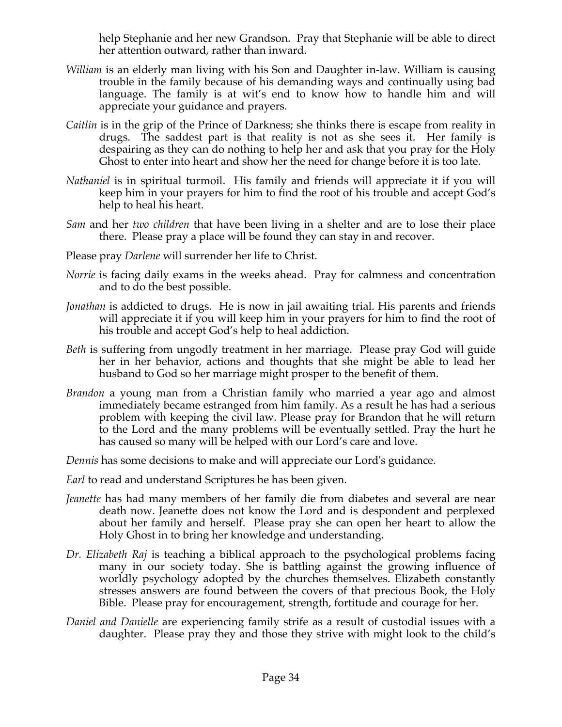help Stephanie and her new Grandson. Pray that Stephanie will be able to direct her attention outward, rather than inward.

- *William* is an elderly man living with his Son and Daughter in-law. William is causing trouble in the family because of his demanding ways and continually using bad language. The family is at wit's end to know how to handle him and will appreciate your guidance and prayers.
- *Caitlin* is in the grip of the Prince of Darkness; she thinks there is escape from reality in drugs. The saddest part is that reality is not as she sees it. Her family is despairing as they can do nothing to help her and ask that you pray for the Holy Ghost to enter into heart and show her the need for change before it is too late.
- *Nathaniel* is in spiritual turmoil. His family and friends will appreciate it if you will keep him in your prayers for him to find the root of his trouble and accept God's help to heal his heart.
- *Sam* and her *two children* that have been living in a shelter and are to lose their place there. Please pray a place will be found they can stay in and recover.
- Please pray *Darlene* will surrender her life to Christ.
- *Norrie* is facing daily exams in the weeks ahead. Pray for calmness and concentration and to do the best possible.
- *Jonathan* is addicted to drugs. He is now in jail awaiting trial. His parents and friends will appreciate it if you will keep him in your prayers for him to find the root of his trouble and accept God's help to heal addiction.
- *Beth* is suffering from ungodly treatment in her marriage. Please pray God will guide her in her behavior, actions and thoughts that she might be able to lead her husband to God so her marriage might prosper to the benefit of them.
- *Brandon* a young man from a Christian family who married a year ago and almost immediately became estranged from him family. As a result he has had a serious problem with keeping the civil law. Please pray for Brandon that he will return to the Lord and the many problems will be eventually settled. Pray the hurt he has caused so many will be helped with our Lord's care and love.
- *Dennis* has some decisions to make and will appreciate our Lord's guidance.
- *Earl* to read and understand Scriptures he has been given.
- *Jeanette* has had many members of her family die from diabetes and several are near death now. Jeanette does not know the Lord and is despondent and perplexed about her family and herself. Please pray she can open her heart to allow the Holy Ghost in to bring her knowledge and understanding.
- *Dr. Elizabeth Raj* is teaching a biblical approach to the psychological problems facing many in our society today. She is battling against the growing influence of worldly psychology adopted by the churches themselves. Elizabeth constantly stresses answers are found between the covers of that precious Book, the Holy Bible. Please pray for encouragement, strength, fortitude and courage for her.
- *Daniel and Danielle* are experiencing family strife as a result of custodial issues with a daughter. Please pray they and those they strive with might look to the child's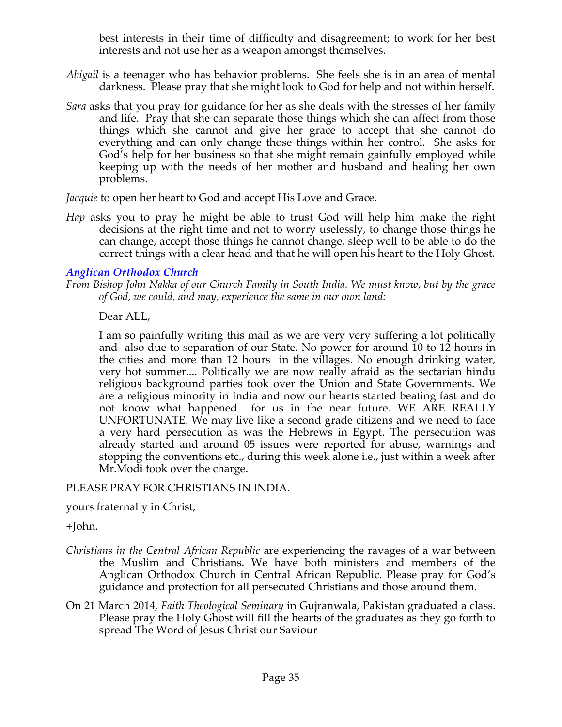best interests in their time of difficulty and disagreement; to work for her best interests and not use her as a weapon amongst themselves.

- *Abigail* is a teenager who has behavior problems. She feels she is in an area of mental darkness. Please pray that she might look to God for help and not within herself.
- *Sara* asks that you pray for guidance for her as she deals with the stresses of her family and life. Pray that she can separate those things which she can affect from those things which she cannot and give her grace to accept that she cannot do everything and can only change those things within her control. She asks for God's help for her business so that she might remain gainfully employed while keeping up with the needs of her mother and husband and healing her own problems.

*Jacquie* to open her heart to God and accept His Love and Grace.

*Hap* asks you to pray he might be able to trust God will help him make the right decisions at the right time and not to worry uselessly, to change those things he can change, accept those things he cannot change, sleep well to be able to do the correct things with a clear head and that he will open his heart to the Holy Ghost.

# *Anglican Orthodox Church*

*From Bishop John Nakka of our Church Family in South India. We must know, but by the grace of God, we could, and may, experience the same in our own land:*

Dear ALL,

I am so painfully writing this mail as we are very very suffering a lot politically and also due to separation of our State. No power for around 10 to 12 hours in the cities and more than 12 hours in the villages. No enough drinking water, very hot summer.... Politically we are now really afraid as the sectarian hindu religious background parties took over the Union and State Governments. We are a religious minority in India and now our hearts started beating fast and do not know what happened for us in the near future. WE ARE REALLY UNFORTUNATE. We may live like a second grade citizens and we need to face a very hard persecution as was the Hebrews in Egypt. The persecution was already started and around 05 issues were reported for abuse, warnings and stopping the conventions etc., during this week alone i.e., just within a week after Mr.Modi took over the charge.

# PLEASE PRAY FOR CHRISTIANS IN INDIA.

yours fraternally in Christ,

+John.

- *Christians in the Central African Republic* are experiencing the ravages of a war between the Muslim and Christians. We have both ministers and members of the Anglican Orthodox Church in Central African Republic. Please pray for God's guidance and protection for all persecuted Christians and those around them.
- On 21 March 2014, *Faith Theological Seminary* in Gujranwala, Pakistan graduated a class. Please pray the Holy Ghost will fill the hearts of the graduates as they go forth to spread The Word of Jesus Christ our Saviour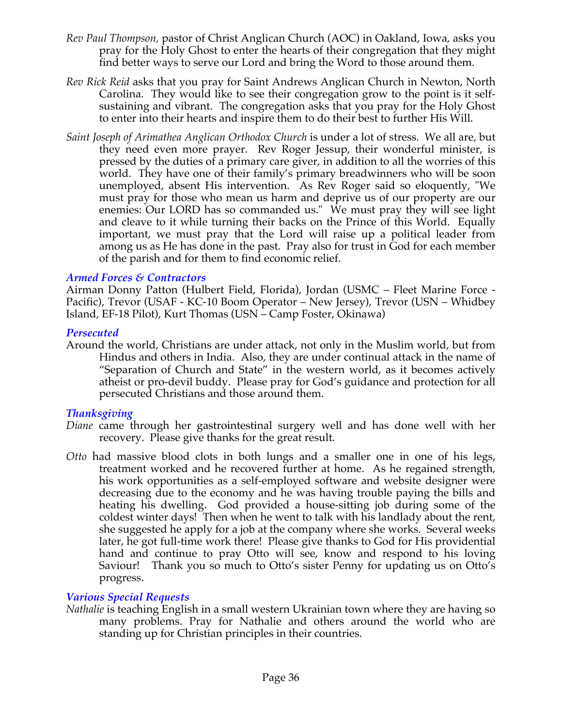- *Rev Paul Thompson,* pastor of Christ Anglican Church (AOC) in Oakland, Iowa, asks you pray for the Holy Ghost to enter the hearts of their congregation that they might find better ways to serve our Lord and bring the Word to those around them.
- *Rev Rick Reid* asks that you pray for Saint Andrews Anglican Church in Newton, North Carolina. They would like to see their congregation grow to the point is it selfsustaining and vibrant. The congregation asks that you pray for the Holy Ghost to enter into their hearts and inspire them to do their best to further His Will.
- *Saint Joseph of Arimathea Anglican Orthodox Church* is under a lot of stress. We all are, but they need even more prayer. Rev Roger Jessup, their wonderful minister, is pressed by the duties of a primary care giver, in addition to all the worries of this world. They have one of their family's primary breadwinners who will be soon unemployed, absent His intervention. As Rev Roger said so eloquently, "We must pray for those who mean us harm and deprive us of our property are our enemies: Our LORD has so commanded us." We must pray they will see light and cleave to it while turning their backs on the Prince of this World. Equally important, we must pray that the Lord will raise up a political leader from among us as He has done in the past. Pray also for trust in God for each member of the parish and for them to find economic relief.

#### *Armed Forces & Contractors*

Airman Donny Patton (Hulbert Field, Florida), Jordan (USMC – Fleet Marine Force - Pacific), Trevor (USAF - KC-10 Boom Operator – New Jersey), Trevor (USN – Whidbey Island, EF-18 Pilot), Kurt Thomas (USN – Camp Foster, Okinawa)

### *Persecuted*

Around the world, Christians are under attack, not only in the Muslim world, but from Hindus and others in India. Also, they are under continual attack in the name of "Separation of Church and State" in the western world, as it becomes actively atheist or pro-devil buddy. Please pray for God's guidance and protection for all persecuted Christians and those around them.

#### *Thanksgiving*

- *Diane* came through her gastrointestinal surgery well and has done well with her recovery. Please give thanks for the great result.
- *Otto* had massive blood clots in both lungs and a smaller one in one of his legs, treatment worked and he recovered further at home. As he regained strength, his work opportunities as a self-employed software and website designer were decreasing due to the economy and he was having trouble paying the bills and heating his dwelling. God provided a house-sitting job during some of the coldest winter days! Then when he went to talk with his landlady about the rent, she suggested he apply for a job at the company where she works. Several weeks later, he got full-time work there! Please give thanks to God for His providential hand and continue to pray Otto will see, know and respond to his loving Saviour! Thank you so much to Otto's sister Penny for updating us on Otto's progress.

# *Various Special Requests*

*Nathalie* is teaching English in a small western Ukrainian town where they are having so many problems. Pray for Nathalie and others around the world who are standing up for Christian principles in their countries.